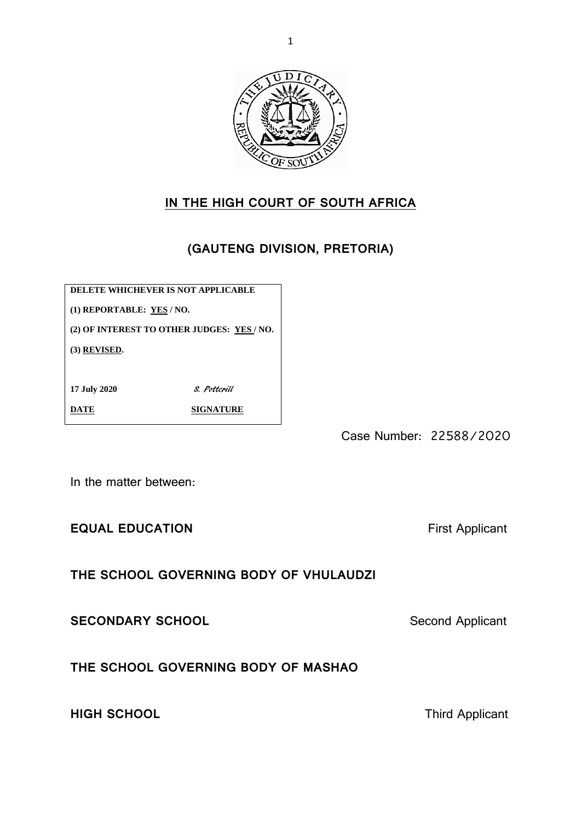

# **IN THE HIGH COURT OF SOUTH AFRICA**

# **(GAUTENG DIVISION, PRETORIA)**

**DELETE WHICHEVER IS NOT APPLICABLE**

**(1) REPORTABLE: YES / NO.**

**(2) OF INTEREST TO OTHER JUDGES: YES / NO.**

**(3) REVISED.**

**17 July 2020** S. Potterill

**DATE** SIGNATURE

Case Number: 22588/2020

In the matter between:

**EQUAL EDUCATION First Applicant** 

**THE SCHOOL GOVERNING BODY OF VHULAUDZI**

**SECONDARY SCHOOL** SECONDARY SCHOOL

**THE SCHOOL GOVERNING BODY OF MASHAO**

**HIGH SCHOOL Third Applicant**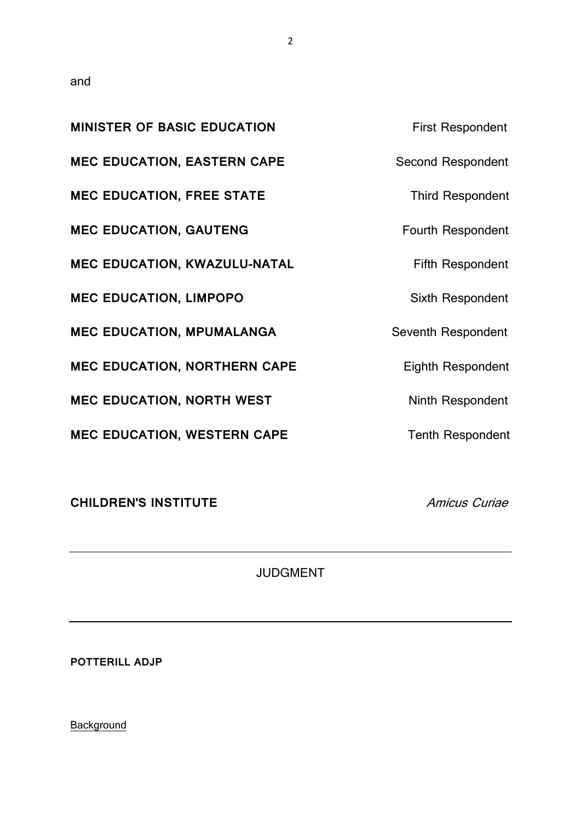and

| <b>MINISTER OF BASIC EDUCATION</b>  | <b>First Respondent</b>  |
|-------------------------------------|--------------------------|
| <b>MEC EDUCATION, EASTERN CAPE</b>  | Second Respondent        |
| <b>MEC EDUCATION, FREE STATE</b>    | <b>Third Respondent</b>  |
| <b>MEC EDUCATION, GAUTENG</b>       | <b>Fourth Respondent</b> |
| MEC EDUCATION, KWAZULU-NATAL        | <b>Fifth Respondent</b>  |
| <b>MEC EDUCATION, LIMPOPO</b>       | Sixth Respondent         |
| <b>MEC EDUCATION, MPUMALANGA</b>    | Seventh Respondent       |
| <b>MEC EDUCATION, NORTHERN CAPE</b> | <b>Eighth Respondent</b> |
| <b>MEC EDUCATION, NORTH WEST</b>    | Ninth Respondent         |
| <b>MEC EDUCATION, WESTERN CAPE</b>  | <b>Tenth Respondent</b>  |

**CHILDREN'S INSTITUTE** Amicus Curiae

JUDGMENT

**POTTERILL ADJP**

**Background**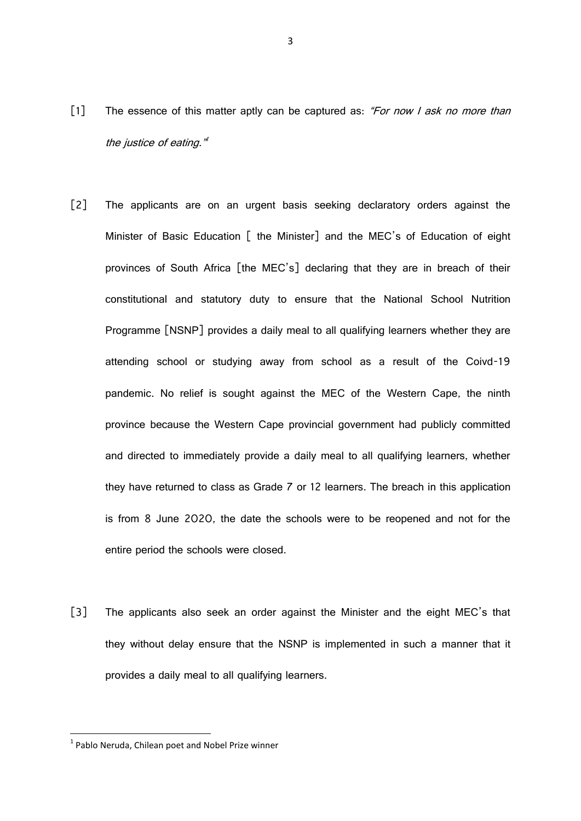- [1] The essence of this matter aptly can be captured as: "For now I ask no more than the justice of eating."
- [2] The applicants are on an urgent basis seeking declaratory orders against the Minister of Basic Education [ the Minister] and the MEC's of Education of eight provinces of South Africa [the MEC's] declaring that they are in breach of their constitutional and statutory duty to ensure that the National School Nutrition Programme [NSNP] provides a daily meal to all qualifying learners whether they are attending school or studying away from school as a result of the Coivd-19 pandemic. No relief is sought against the MEC of the Western Cape, the ninth province because the Western Cape provincial government had publicly committed and directed to immediately provide a daily meal to all qualifying learners, whether they have returned to class as Grade 7 or 12 learners. The breach in this application is from 8 June 2020, the date the schools were to be reopened and not for the entire period the schools were closed.
- [3] The applicants also seek an order against the Minister and the eight MEC's that they without delay ensure that the NSNP is implemented in such a manner that it provides a daily meal to all qualifying learners.

 $<sup>1</sup>$  Pablo Neruda, Chilean poet and Nobel Prize winner</sup>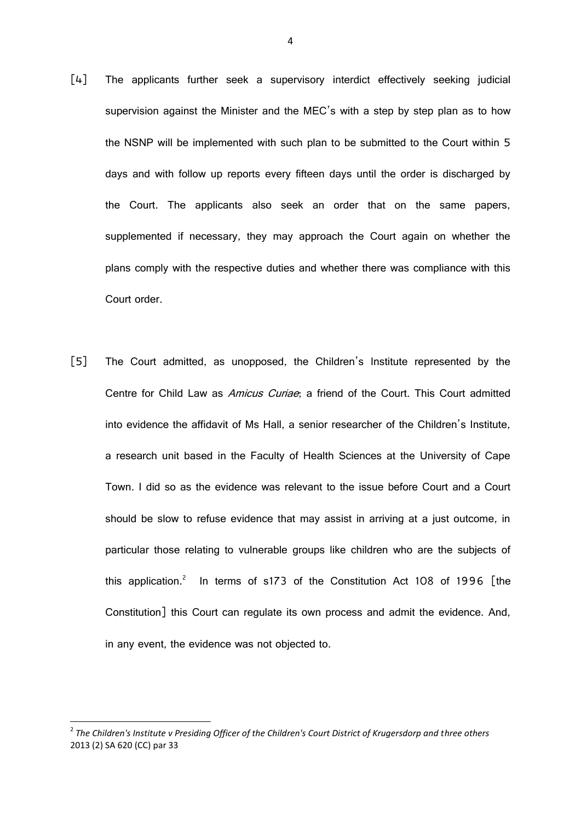- [4] The applicants further seek a supervisory interdict effectively seeking judicial supervision against the Minister and the MEC's with a step by step plan as to how the NSNP will be implemented with such plan to be submitted to the Court within 5 days and with follow up reports every fifteen days until the order is discharged by the Court. The applicants also seek an order that on the same papers, supplemented if necessary, they may approach the Court again on whether the plans comply with the respective duties and whether there was compliance with this Court order.
- [5] The Court admitted, as unopposed, the Children's Institute represented by the Centre for Child Law as Amicus Curiae; a friend of the Court. This Court admitted into evidence the affidavit of Ms Hall, a senior researcher of the Children's Institute, a research unit based in the Faculty of Health Sciences at the University of Cape Town. I did so as the evidence was relevant to the issue before Court and a Court should be slow to refuse evidence that may assist in arriving at a just outcome, in particular those relating to vulnerable groups like children who are the subjects of this application.<sup>2</sup> In terms of s173 of the Constitution Act 108 of 1996 [the Constitution] this Court can regulate its own process and admit the evidence. And, in any event, the evidence was not objected to.

1

<sup>2</sup> *The Children's Institute v Presiding Officer of the Children's Court District of Krugersdorp and three others*  2013 (2) SA 620 (CC) par 33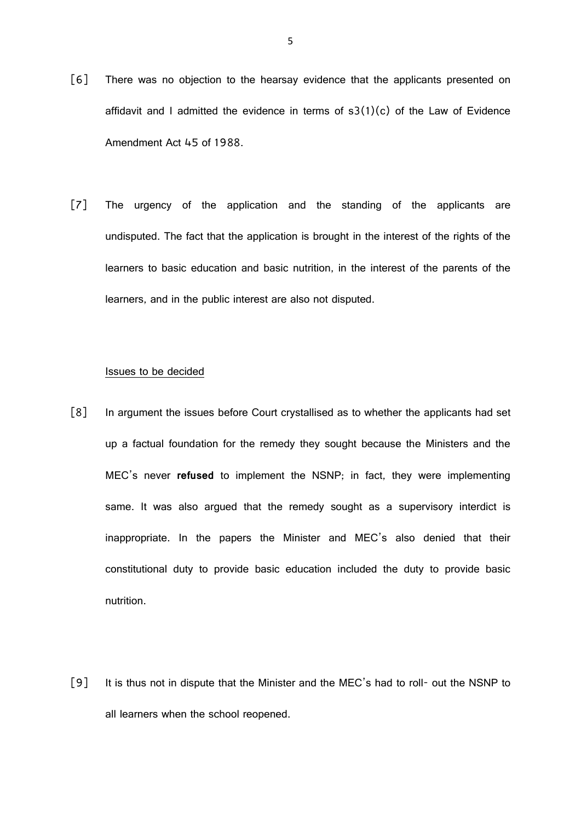- [6] There was no objection to the hearsay evidence that the applicants presented on affidavit and I admitted the evidence in terms of  $s3(1)(c)$  of the Law of Evidence Amendment Act 45 of 1988.
- [7] The urgency of the application and the standing of the applicants are undisputed. The fact that the application is brought in the interest of the rights of the learners to basic education and basic nutrition, in the interest of the parents of the learners, and in the public interest are also not disputed.

#### Issues to be decided

- [8] In argument the issues before Court crystallised as to whether the applicants had set up a factual foundation for the remedy they sought because the Ministers and the MEC's never **refused** to implement the NSNP; in fact, they were implementing same. It was also argued that the remedy sought as a supervisory interdict is inappropriate. In the papers the Minister and MEC's also denied that their constitutional duty to provide basic education included the duty to provide basic nutrition.
- [9] It is thus not in dispute that the Minister and the MEC's had to roll- out the NSNP to all learners when the school reopened.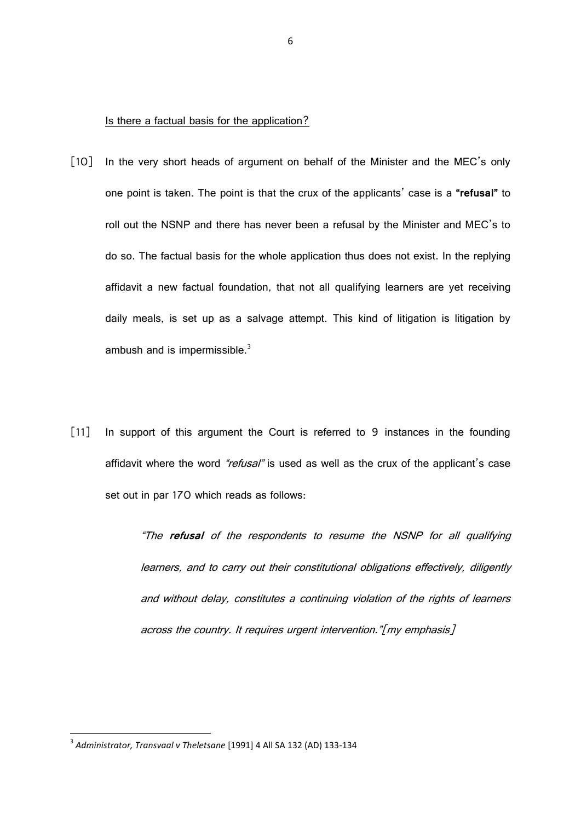#### Is there a factual basis for the application?

- [10] In the very short heads of argument on behalf of the Minister and the MEC's only one point is taken. The point is that the crux of the applicants' case is a **"refusal"** to roll out the NSNP and there has never been a refusal by the Minister and MEC's to do so. The factual basis for the whole application thus does not exist. In the replying affidavit a new factual foundation, that not all qualifying learners are yet receiving daily meals, is set up as a salvage attempt. This kind of litigation is litigation by ambush and is impermissible. $3$
- [11] In support of this argument the Court is referred to 9 instances in the founding affidavit where the word "refusal" is used as well as the crux of the applicant's case set out in par 170 which reads as follows:

"The **refusal** of the respondents to resume the NSNP for all qualifying learners, and to carry out their constitutional obligations effectively, diligently and without delay, constitutes a continuing violation of the rights of learners across the country. It requires urgent intervention."[my emphasis]

<sup>3</sup> *Administrator, Transvaal v Theletsane* [1991] 4 All SA 132 (AD) 133-134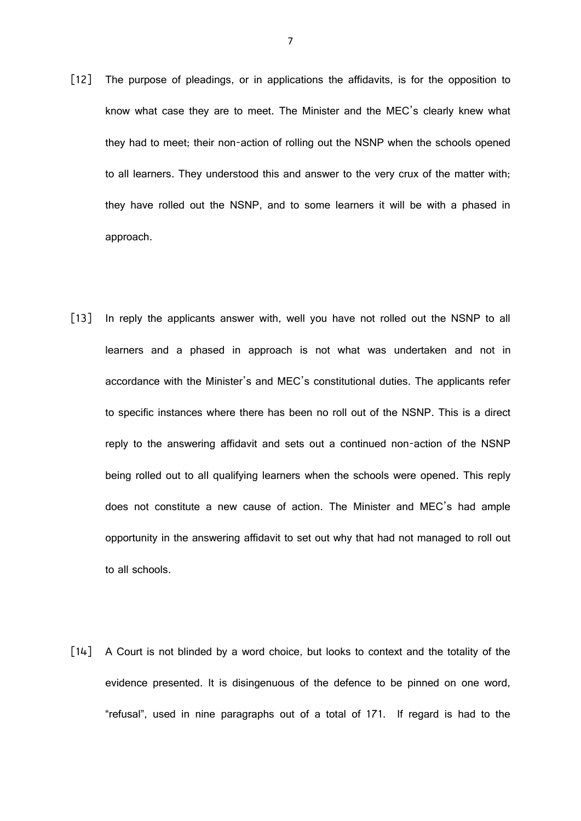- [12] The purpose of pleadings, or in applications the affidavits, is for the opposition to know what case they are to meet. The Minister and the MEC's clearly knew what they had to meet; their non-action of rolling out the NSNP when the schools opened to all learners. They understood this and answer to the very crux of the matter with; they have rolled out the NSNP, and to some learners it will be with a phased in approach.
- [13] In reply the applicants answer with, well you have not rolled out the NSNP to all learners and a phased in approach is not what was undertaken and not in accordance with the Minister's and MEC's constitutional duties. The applicants refer to specific instances where there has been no roll out of the NSNP. This is a direct reply to the answering affidavit and sets out a continued non-action of the NSNP being rolled out to all qualifying learners when the schools were opened. This reply does not constitute a new cause of action. The Minister and MEC's had ample opportunity in the answering affidavit to set out why that had not managed to roll out to all schools.
- [14] A Court is not blinded by a word choice, but looks to context and the totality of the evidence presented. It is disingenuous of the defence to be pinned on one word, "refusal", used in nine paragraphs out of a total of 171. If regard is had to the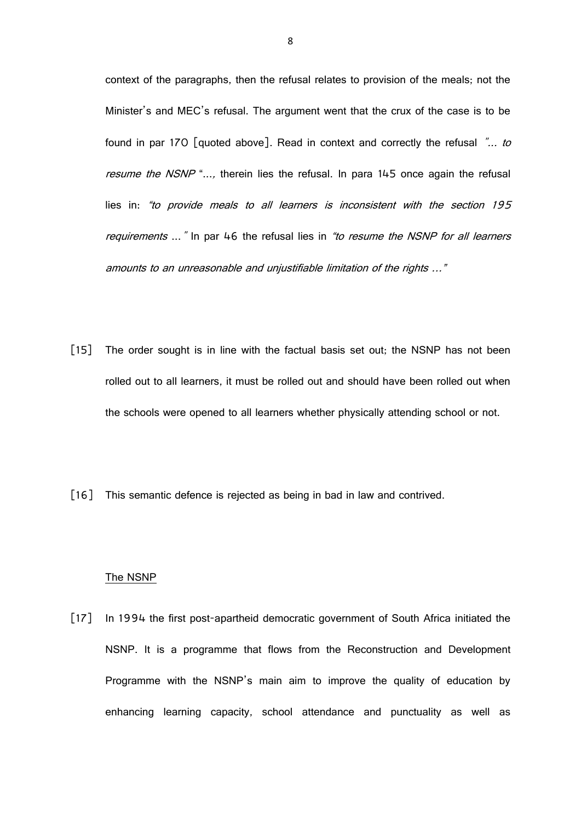context of the paragraphs, then the refusal relates to provision of the meals; not the Minister's and MEC's refusal. The argument went that the crux of the case is to be found in par 170 [quoted above]. Read in context and correctly the refusal "... to resume the NSNP "..., therein lies the refusal. In para 145 once again the refusal lies in: "to provide meals to all learners is inconsistent with the section 195 requirements ..." In par 46 the refusal lies in "to resume the NSNP for all learners amounts to an unreasonable and unjustifiable limitation of the rights …"

- [15] The order sought is in line with the factual basis set out; the NSNP has not been rolled out to all learners, it must be rolled out and should have been rolled out when the schools were opened to all learners whether physically attending school or not.
- [16] This semantic defence is rejected as being in bad in law and contrived.

#### The NSNP

[17] In 1994 the first post-apartheid democratic government of South Africa initiated the NSNP. It is a programme that flows from the Reconstruction and Development Programme with the NSNP's main aim to improve the quality of education by enhancing learning capacity, school attendance and punctuality as well as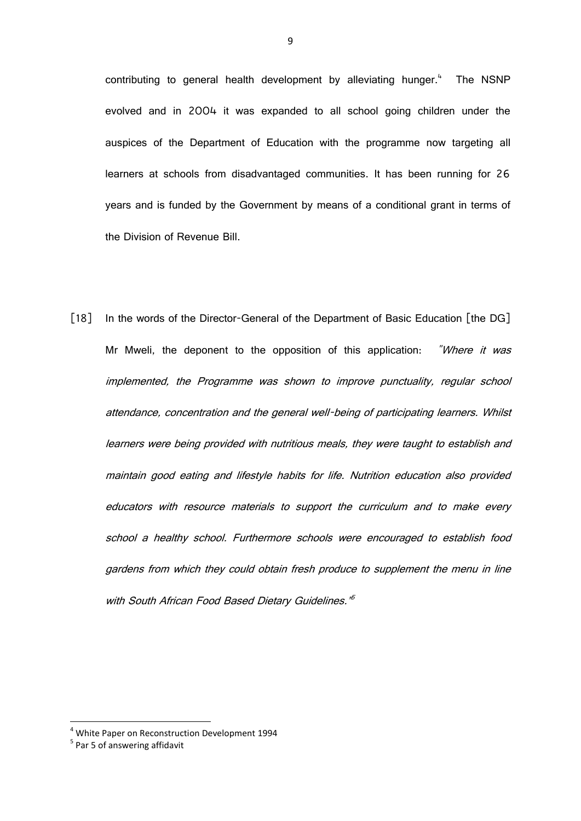contributing to general health development by alleviating hunger.<sup>4</sup> The NSNP evolved and in 2004 it was expanded to all school going children under the auspices of the Department of Education with the programme now targeting all learners at schools from disadvantaged communities. It has been running for 26 years and is funded by the Government by means of a conditional grant in terms of the Division of Revenue Bill.

[18] In the words of the Director-General of the Department of Basic Education [the DG] Mr Mweli, the deponent to the opposition of this application: "Where it was implemented, the Programme was shown to improve punctuality, regular school attendance, concentration and the general well-being of participating learners. Whilst learners were being provided with nutritious meals, they were taught to establish and maintain good eating and lifestyle habits for life. Nutrition education also provided educators with resource materials to support the curriculum and to make every school a healthy school. Furthermore schools were encouraged to establish food gardens from which they could obtain fresh produce to supplement the menu in line with South African Food Based Dietary Guidelines.<sup>"5</sup>

1

<sup>4</sup> White Paper on Reconstruction Development 1994

<sup>&</sup>lt;sup>5</sup> Par 5 of answering affidavit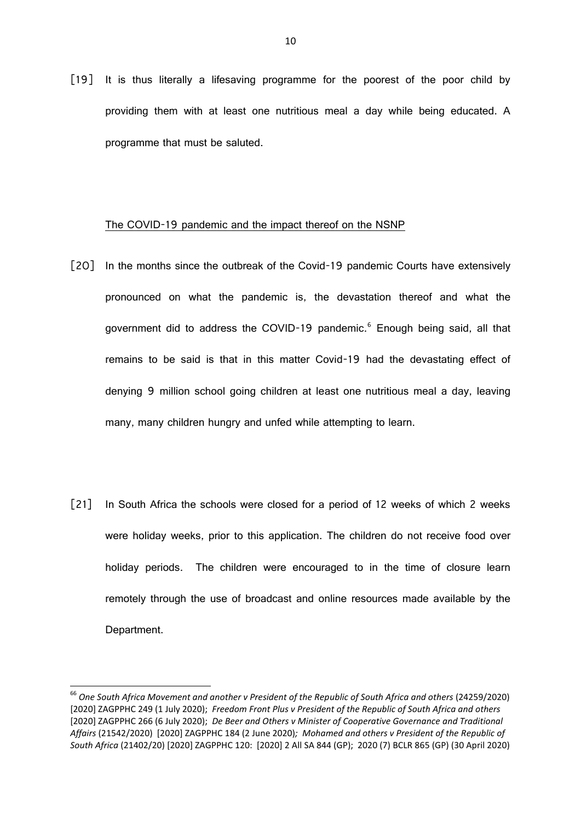[19] It is thus literally a lifesaving programme for the poorest of the poor child by providing them with at least one nutritious meal a day while being educated. A programme that must be saluted.

#### The COVID-19 pandemic and the impact thereof on the NSNP

- [20] In the months since the outbreak of the Covid-19 pandemic Courts have extensively pronounced on what the pandemic is, the devastation thereof and what the government did to address the COVID-19 pandemic.<sup>6</sup> Enough being said, all that remains to be said is that in this matter Covid-19 had the devastating effect of denying 9 million school going children at least one nutritious meal a day, leaving many, many children hungry and unfed while attempting to learn.
- [21] In South Africa the schools were closed for a period of 12 weeks of which 2 weeks were holiday weeks, prior to this application. The children do not receive food over holiday periods. The children were encouraged to in the time of closure learn remotely through the use of broadcast and online resources made available by the Department.

 $\overline{a}$ 

 $^{66}$  One South Africa Movement and another v President of the Republic of South Africa and others (24259/2020) [2020] ZAGPPHC 249 (1 July 2020); *Freedom Front Plus v President of the Republic of South Africa and others*  [2020] ZAGPPHC 266 (6 July 2020); *De Beer and Others v Minister of Cooperative Governance and Traditional Affairs* (21542/2020) [2020] ZAGPPHC 184 (2 June 2020)*; Mohamed and others v President of the Republic of South Africa* (21402/20) [2020] ZAGPPHC 120: [2020] 2 All SA 844 (GP); 2020 (7) BCLR 865 (GP) (30 April 2020)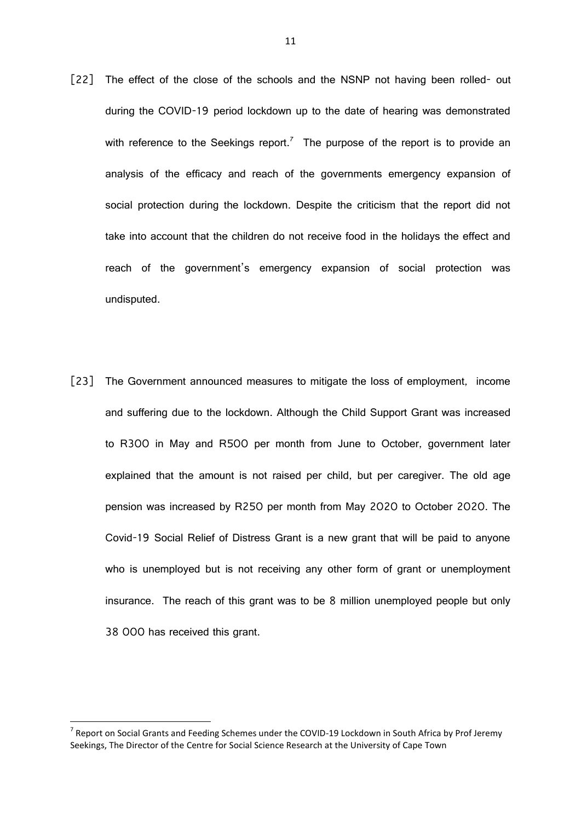- [22] The effect of the close of the schools and the NSNP not having been rolled- out during the COVID-19 period lockdown up to the date of hearing was demonstrated with reference to the Seekings report.<sup>7</sup> The purpose of the report is to provide an analysis of the efficacy and reach of the governments emergency expansion of social protection during the lockdown. Despite the criticism that the report did not take into account that the children do not receive food in the holidays the effect and reach of the government's emergency expansion of social protection was undisputed.
- [23] The Government announced measures to mitigate the loss of employment, income and suffering due to the lockdown. Although the Child Support Grant was increased to R300 in May and R500 per month from June to October, government later explained that the amount is not raised per child, but per caregiver. The old age pension was increased by R250 per month from May 2020 to October 2020. The Covid-19 Social Relief of Distress Grant is a new grant that will be paid to anyone who is unemployed but is not receiving any other form of grant or unemployment insurance. The reach of this grant was to be 8 million unemployed people but only 38 000 has received this grant.

1

<sup>&</sup>lt;sup>7</sup> Report on Social Grants and Feeding Schemes under the COVID-19 Lockdown in South Africa by Prof Jeremy Seekings, The Director of the Centre for Social Science Research at the University of Cape Town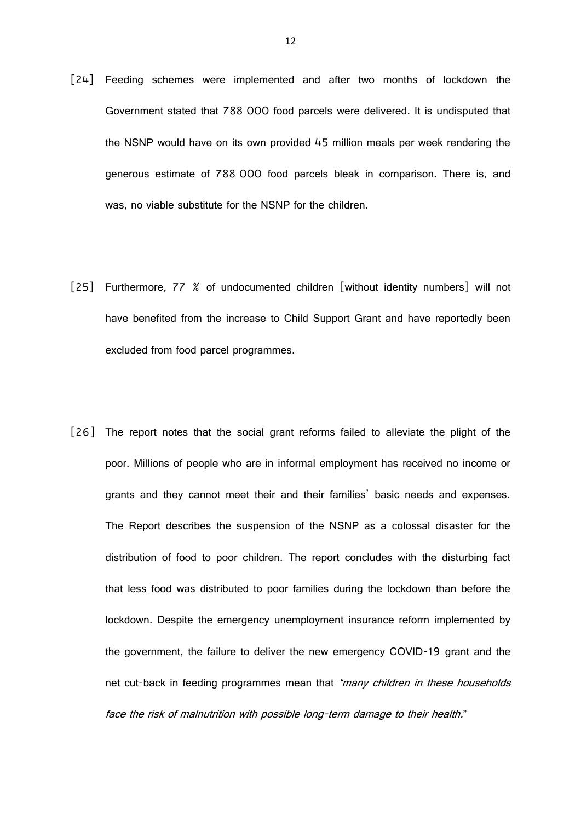- [24] Feeding schemes were implemented and after two months of lockdown the Government stated that 788 000 food parcels were delivered. It is undisputed that the NSNP would have on its own provided 45 million meals per week rendering the generous estimate of 788 000 food parcels bleak in comparison. There is, and was, no viable substitute for the NSNP for the children.
- [25] Furthermore, 77 % of undocumented children [without identity numbers] will not have benefited from the increase to Child Support Grant and have reportedly been excluded from food parcel programmes.
- [26] The report notes that the social grant reforms failed to alleviate the plight of the poor. Millions of people who are in informal employment has received no income or grants and they cannot meet their and their families' basic needs and expenses. The Report describes the suspension of the NSNP as a colossal disaster for the distribution of food to poor children. The report concludes with the disturbing fact that less food was distributed to poor families during the lockdown than before the lockdown. Despite the emergency unemployment insurance reform implemented by the government, the failure to deliver the new emergency COVID-19 grant and the net cut-back in feeding programmes mean that "many children in these households face the risk of malnutrition with possible long-term damage to their health."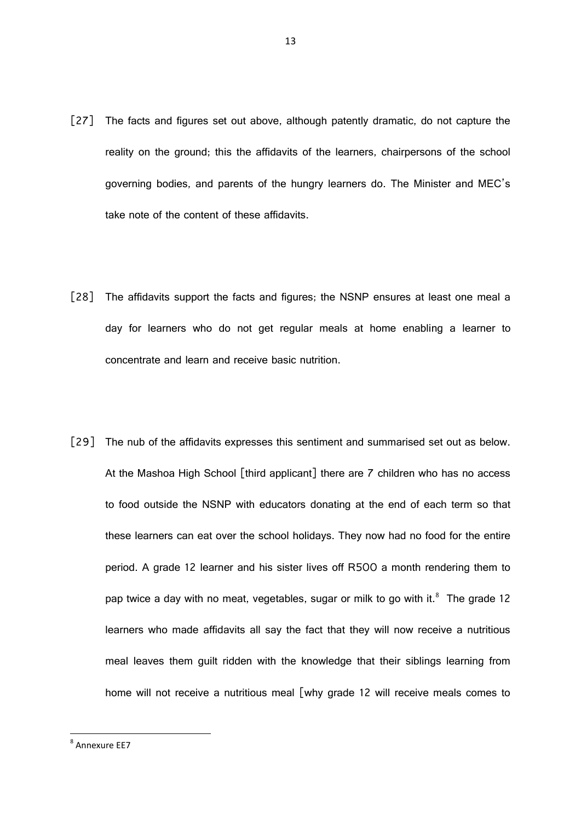- [27] The facts and figures set out above, although patently dramatic, do not capture the reality on the ground; this the affidavits of the learners, chairpersons of the school governing bodies, and parents of the hungry learners do. The Minister and MEC's take note of the content of these affidavits.
- [28] The affidavits support the facts and figures; the NSNP ensures at least one meal a day for learners who do not get regular meals at home enabling a learner to concentrate and learn and receive basic nutrition.
- [29] The nub of the affidavits expresses this sentiment and summarised set out as below. At the Mashoa High School [third applicant] there are 7 children who has no access to food outside the NSNP with educators donating at the end of each term so that these learners can eat over the school holidays. They now had no food for the entire period. A grade 12 learner and his sister lives off R500 a month rendering them to pap twice a day with no meat, vegetables, sugar or milk to go with it.<sup>8</sup> The grade 12 learners who made affidavits all say the fact that they will now receive a nutritious meal leaves them guilt ridden with the knowledge that their siblings learning from home will not receive a nutritious meal [why grade 12 will receive meals comes to

<sup>8</sup> Annexure EE7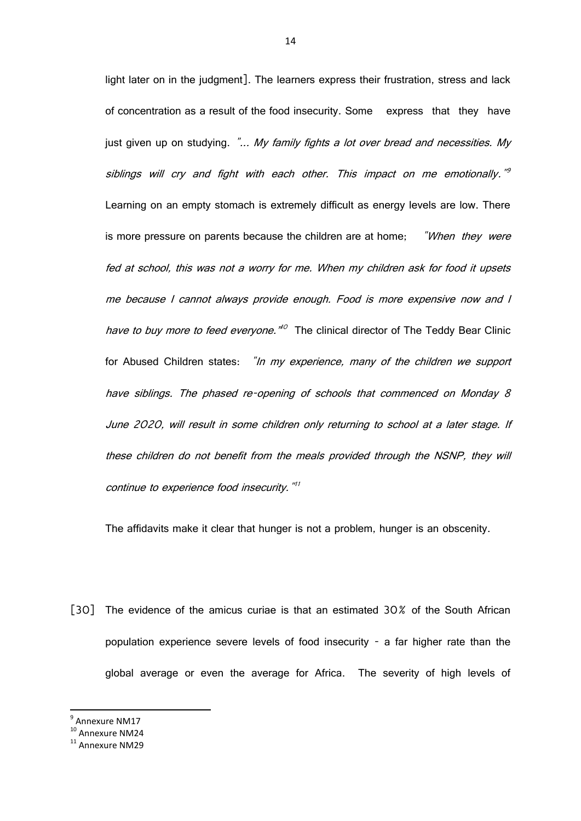light later on in the judgment]. The learners express their frustration, stress and lack of concentration as a result of the food insecurity. Some express that they have just given up on studying. "... My family fights a lot over bread and necessities. My siblings will cry and fight with each other. This impact on me emotionally."<sup>9</sup> Learning on an empty stomach is extremely difficult as energy levels are low. There is more pressure on parents because the children are at home; *When they were* fed at school, this was not a worry for me. When my children ask for food it upsets me because I cannot always provide enough. Food is more expensive now and I have to buy more to feed everyone.<sup>"
O</sup> The clinical director of The Teddy Bear Clinic for Abused Children states: "In my experience, many of the children we support have siblings. The phased re-opening of schools that commenced on Monday 8 June 2020, will result in some children only returning to school at a later stage. If these children do not benefit from the meals provided through the NSNP, they will continue to experience food insecurity."<sup>11</sup>

The affidavits make it clear that hunger is not a problem, hunger is an obscenity.

[30] The evidence of the amicus curiae is that an estimated 30% of the South African population experience severe levels of food insecurity - a far higher rate than the global average or even the average for Africa. The severity of high levels of

<sup>9</sup> Annexure NM17

<sup>&</sup>lt;sup>10</sup> Annexure NM24

<sup>&</sup>lt;sup>11</sup> Annexure NM29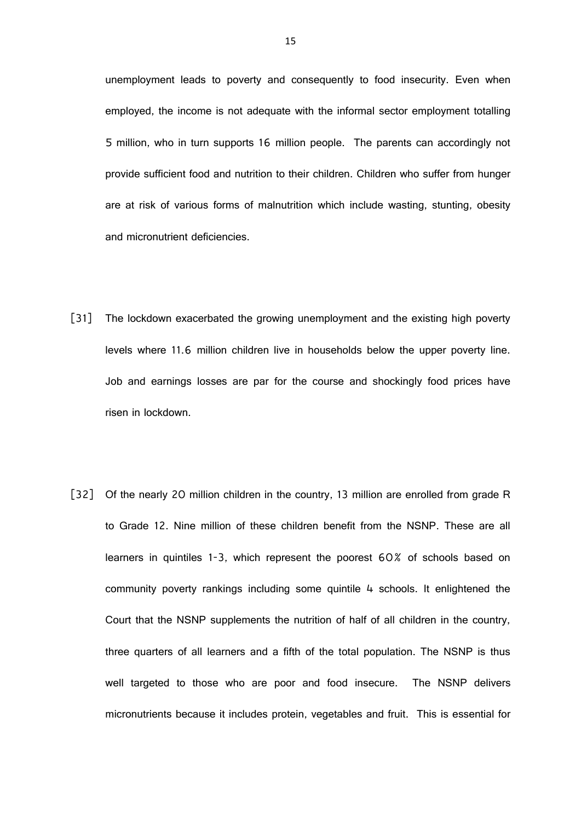unemployment leads to poverty and consequently to food insecurity. Even when employed, the income is not adequate with the informal sector employment totalling 5 million, who in turn supports 16 million people. The parents can accordingly not provide sufficient food and nutrition to their children. Children who suffer from hunger are at risk of various forms of malnutrition which include wasting, stunting, obesity and micronutrient deficiencies.

- [31] The lockdown exacerbated the growing unemployment and the existing high poverty levels where 11.6 million children live in households below the upper poverty line. Job and earnings losses are par for the course and shockingly food prices have risen in lockdown.
- [32] Of the nearly 20 million children in the country, 13 million are enrolled from grade R to Grade 12. Nine million of these children benefit from the NSNP. These are all learners in quintiles 1-3, which represent the poorest 60% of schools based on community poverty rankings including some quintile 4 schools. It enlightened the Court that the NSNP supplements the nutrition of half of all children in the country, three quarters of all learners and a fifth of the total population. The NSNP is thus well targeted to those who are poor and food insecure. The NSNP delivers micronutrients because it includes protein, vegetables and fruit. This is essential for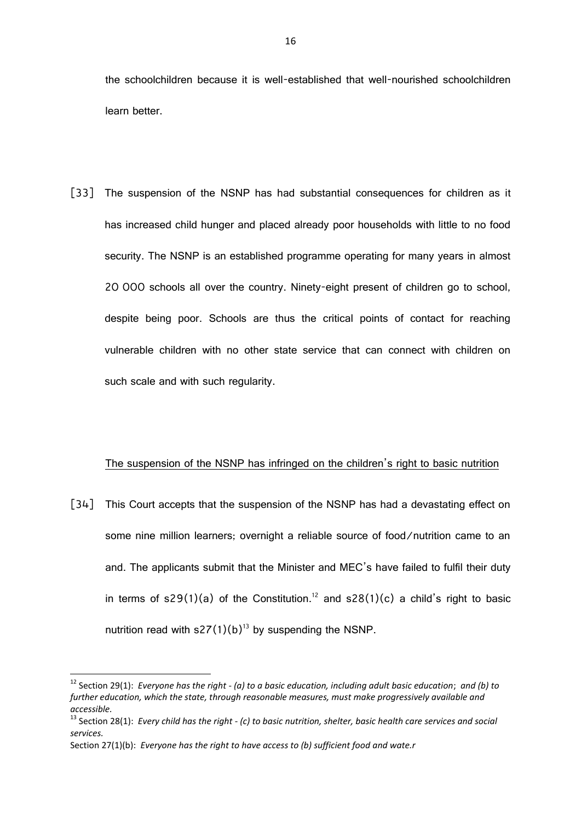the schoolchildren because it is well-established that well-nourished schoolchildren learn better.

[33] The suspension of the NSNP has had substantial consequences for children as it has increased child hunger and placed already poor households with little to no food security. The NSNP is an established programme operating for many years in almost 20 000 schools all over the country. Ninety-eight present of children go to school, despite being poor. Schools are thus the critical points of contact for reaching vulnerable children with no other state service that can connect with children on such scale and with such regularity.

## The suspension of the NSNP has infringed on the children's right to basic nutrition

[34] This Court accepts that the suspension of the NSNP has had a devastating effect on some nine million learners; overnight a reliable source of food/nutrition came to an and. The applicants submit that the Minister and MEC's have failed to fulfil their duty in terms of  $s29(1)(a)$  of the Constitution.<sup>12</sup> and  $s28(1)(c)$  a child's right to basic nutrition read with  $s27(1)(b)^{13}$  by suspending the NSNP.

<sup>12</sup> Section 29(1): *Everyone has the right - (a) to a basic education, including adult basic education*; *and (b) to further education, which the state, through reasonable measures, must make progressively available and accessible.*

<sup>13</sup> Section 28(1): *Every child has the right - (c) to basic nutrition, shelter, basic health care services and social services.*

Section 27(1)(b): *Everyone has the right to have access to (b) sufficient food and wate.r*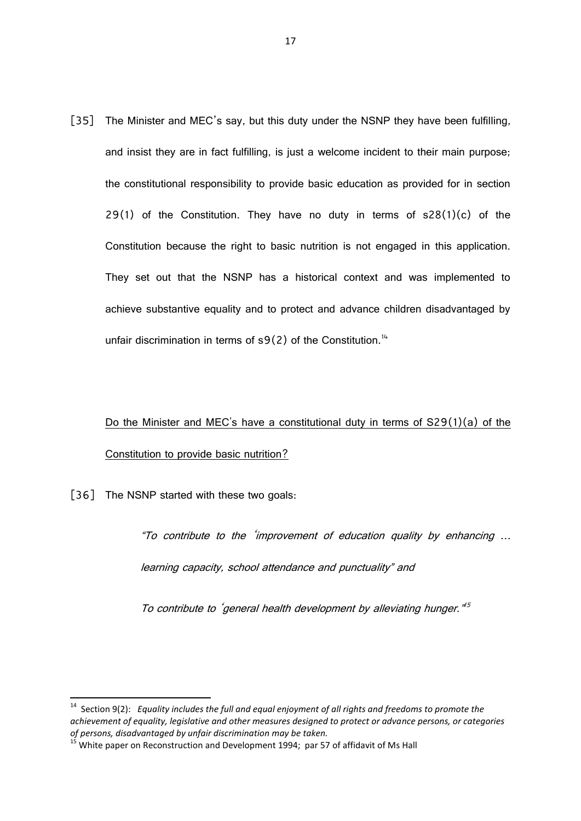[35] The Minister and MEC's say, but this duty under the NSNP they have been fulfilling, and insist they are in fact fulfilling, is just a welcome incident to their main purpose; the constitutional responsibility to provide basic education as provided for in section 29(1) of the Constitution. They have no duty in terms of  $s28(1)(c)$  of the Constitution because the right to basic nutrition is not engaged in this application. They set out that the NSNP has a historical context and was implemented to achieve substantive equality and to protect and advance children disadvantaged by unfair discrimination in terms of  $s9(2)$  of the Constitution.<sup>14</sup>

# Do the Minister and MEC's have a constitutional duty in terms of S29(1)(a) of the Constitution to provide basic nutrition?

[36] The NSNP started with these two goals:

"To contribute to the 'improvement of education quality by enhancing … learning capacity, school attendance and punctuality" and

To contribute to 'general health development by alleviating hunger."<sup>5</sup>

 14 Section 9(2): *Equality includes the full and equal enjoyment of all rights and freedoms to promote the achievement of equality, legislative and other measures designed to protect or advance persons, or categories of persons, disadvantaged by unfair discrimination may be taken.*

<sup>&</sup>lt;sup>15</sup> White paper on Reconstruction and Development 1994; par 57 of affidavit of Ms Hall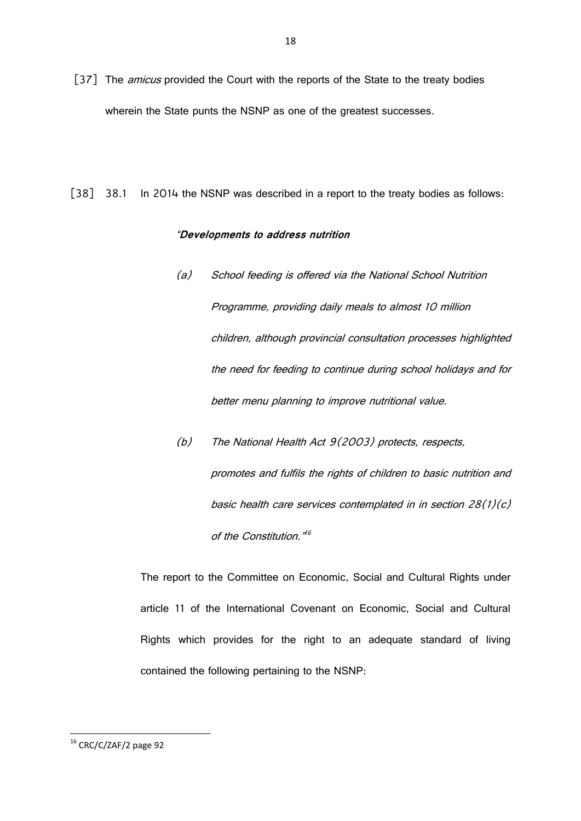- [37] The *amicus* provided the Court with the reports of the State to the treaty bodies wherein the State punts the NSNP as one of the greatest successes.
- [38] 38.1 In 2014 the NSNP was described in a report to the treaty bodies as follows:

# "**Developments to address nutrition**

- (a) School feeding is offered via the National School Nutrition Programme, providing daily meals to almost 10 million children, although provincial consultation processes highlighted the need for feeding to continue during school holidays and for better menu planning to improve nutritional value.
- (b) The National Health Act 9(2003) protects, respects, promotes and fulfils the rights of children to basic nutrition and basic health care services contemplated in in section 28(1)(c) of the Constitution."<sup>16</sup>

The report to the Committee on Economic, Social and Cultural Rights under article 11 of the International Covenant on Economic, Social and Cultural Rights which provides for the right to an adequate standard of living contained the following pertaining to the NSNP:

**<sup>.</sup>**  $16$  CRC/C/ZAF/2 page 92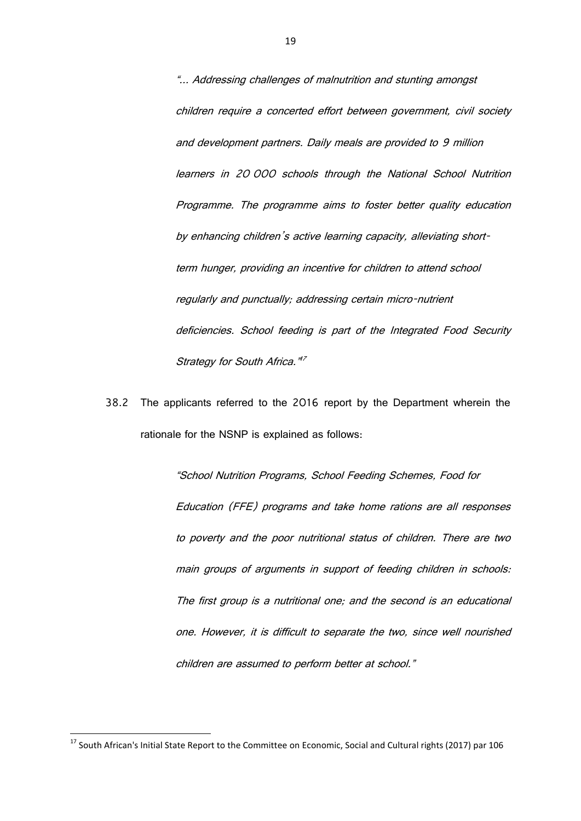"... Addressing challenges of malnutrition and stunting amongst children require a concerted effort between government, civil society and development partners. Daily meals are provided to 9 million learners in 20 000 schools through the National School Nutrition Programme. The programme aims to foster better quality education by enhancing children's active learning capacity, alleviating shortterm hunger, providing an incentive for children to attend school regularly and punctually; addressing certain micro-nutrient deficiencies. School feeding is part of the Integrated Food Security Strategy for South Africa."<sup>17</sup>

38.2 The applicants referred to the 2016 report by the Department wherein the rationale for the NSNP is explained as follows:

> "School Nutrition Programs, School Feeding Schemes, Food for Education (FFE) programs and take home rations are all responses to poverty and the poor nutritional status of children. There are two main groups of arguments in support of feeding children in schools: The first group is a nutritional one; and the second is an educational one. However, it is difficult to separate the two, since well nourished children are assumed to perform better at school."

<sup>&</sup>lt;sup>17</sup> South African's Initial State Report to the Committee on Economic, Social and Cultural rights (2017) par 106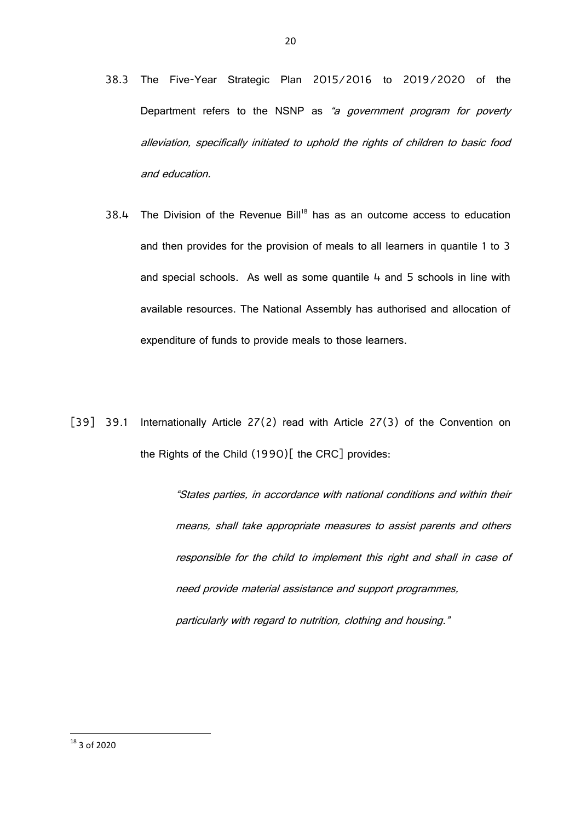- 38.3 The Five-Year Strategic Plan 2015/2016 to 2019/2020 of the Department refers to the NSNP as "a government program for poverty alleviation, specifically initiated to uphold the rights of children to basic food and education.
- $38.4$  The Division of the Revenue Bill<sup>18</sup> has as an outcome access to education and then provides for the provision of meals to all learners in quantile 1 to 3 and special schools. As well as some quantile 4 and 5 schools in line with available resources. The National Assembly has authorised and allocation of expenditure of funds to provide meals to those learners.
- [39] 39.1 Internationally Article 27(2) read with Article 27(3) of the Convention on the Rights of the Child (1990)[ the CRC] provides:

"States parties, in accordance with national conditions and within their means, shall take appropriate measures to assist parents and others responsible for the child to implement this right and shall in case of need provide material assistance and support programmes, particularly with regard to nutrition, clothing and housing."

 $18$  3 of 2020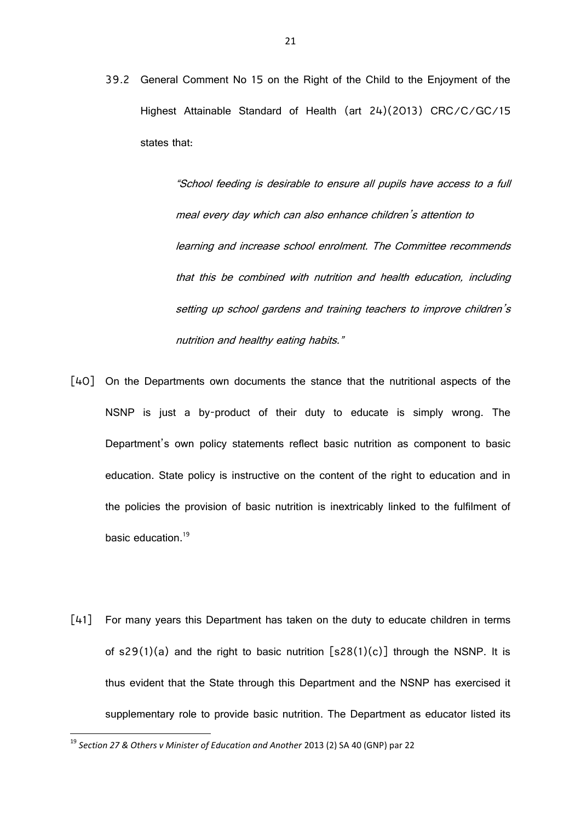39.2 General Comment No 15 on the Right of the Child to the Enjoyment of the Highest Attainable Standard of Health (art 24)(2013) CRC/C/GC/15 states that:

> "School feeding is desirable to ensure all pupils have access to a full meal every day which can also enhance children's attention to learning and increase school enrolment. The Committee recommends that this be combined with nutrition and health education, including setting up school gardens and training teachers to improve children's nutrition and healthy eating habits."

- [40] On the Departments own documents the stance that the nutritional aspects of the NSNP is just a by-product of their duty to educate is simply wrong. The Department's own policy statements reflect basic nutrition as component to basic education. State policy is instructive on the content of the right to education and in the policies the provision of basic nutrition is inextricably linked to the fulfilment of basic education.<sup>19</sup>
- [41] For many years this Department has taken on the duty to educate children in terms of  $s29(1)(a)$  and the right to basic nutrition  $[s28(1)(c)]$  through the NSNP. It is thus evident that the State through this Department and the NSNP has exercised it supplementary role to provide basic nutrition. The Department as educator listed its

<sup>&</sup>lt;sup>19</sup> Section 27 & Others v Minister of Education and Another 2013 (2) SA 40 (GNP) par 22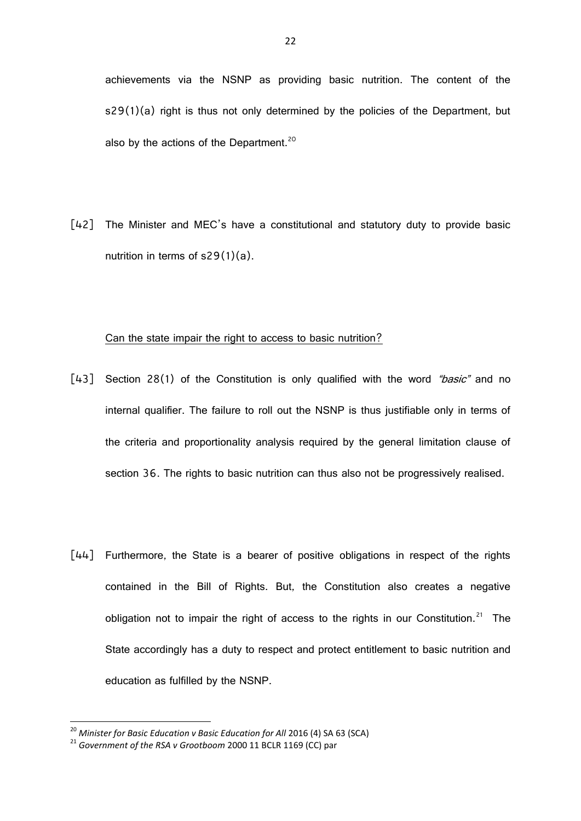[42] The Minister and MEC's have a constitutional and statutory duty to provide basic nutrition in terms of s29(1)(a).

#### Can the state impair the right to access to basic nutrition?

- [43] Section 28(1) of the Constitution is only qualified with the word "basic" and no internal qualifier. The failure to roll out the NSNP is thus justifiable only in terms of the criteria and proportionality analysis required by the general limitation clause of section 36. The rights to basic nutrition can thus also not be progressively realised.
- [44] Furthermore, the State is a bearer of positive obligations in respect of the rights contained in the Bill of Rights. But, the Constitution also creates a negative obligation not to impair the right of access to the rights in our Constitution.<sup>21</sup> The State accordingly has a duty to respect and protect entitlement to basic nutrition and education as fulfilled by the NSNP.

1

<sup>&</sup>lt;sup>20</sup> Minister for Basic Education v Basic Education for All 2016 (4) SA 63 (SCA)

<sup>21</sup> *Government of the RSA v Grootboom* 2000 11 BCLR 1169 (CC) par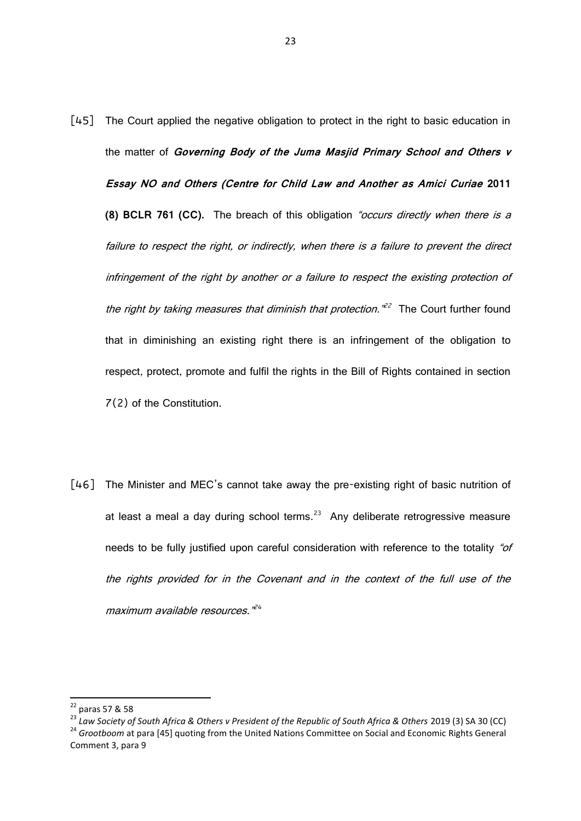- [45] The Court applied the negative obligation to protect in the right to basic education in the matter of **Governing Body of the Juma Masjid Primary School and Others v Essay NO and Others (Centre for Child Law and Another as Amici Curiae 2011 (8) BCLR 761 (CC).** The breach of this obligation "occurs directly when there is a failure to respect the right, or indirectly, when there is a failure to prevent the direct infringement of the right by another or a failure to respect the existing protection of the right by taking measures that diminish that protection.<sup>122</sup> The Court further found that in diminishing an existing right there is an infringement of the obligation to respect, protect, promote and fulfil the rights in the Bill of Rights contained in section 7(2) of the Constitution.
- [46] The Minister and MEC's cannot take away the pre-existing right of basic nutrition of at least a meal a day during school terms.<sup>23</sup> Any deliberate retrogressive measure needs to be fully justified upon careful consideration with reference to the totality "of the rights provided for in the Covenant and in the context of the full use of the maximum available resources." 24

<sup>22</sup> paras 57 & 58

<sup>23</sup> *Law Society of South Africa & Others v President of the Republic of South Africa & Others* 2019 (3) SA 30 (CC) <sup>24</sup> Grootboom at para [45] quoting from the United Nations Committee on Social and Economic Rights General Comment 3, para 9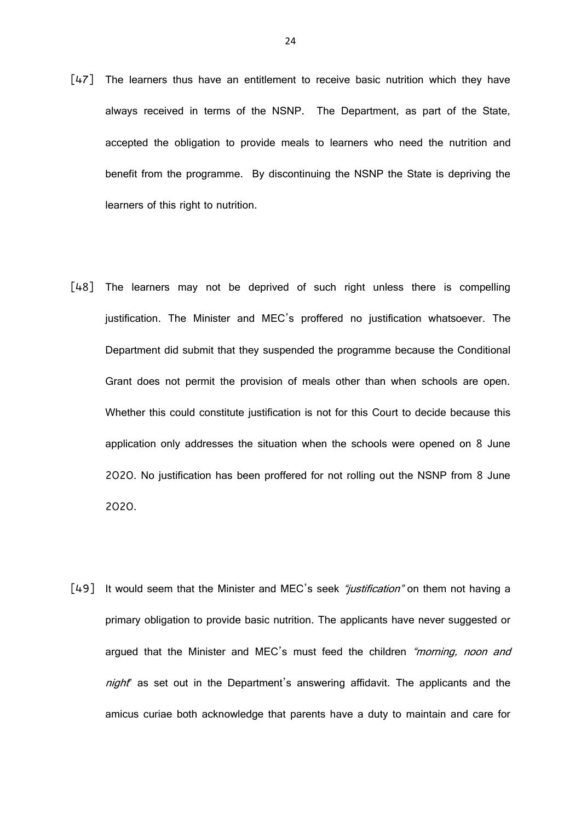- [47] The learners thus have an entitlement to receive basic nutrition which they have always received in terms of the NSNP. The Department, as part of the State, accepted the obligation to provide meals to learners who need the nutrition and benefit from the programme. By discontinuing the NSNP the State is depriving the learners of this right to nutrition.
- [48] The learners may not be deprived of such right unless there is compelling justification. The Minister and MEC's proffered no justification whatsoever. The Department did submit that they suspended the programme because the Conditional Grant does not permit the provision of meals other than when schools are open. Whether this could constitute justification is not for this Court to decide because this application only addresses the situation when the schools were opened on 8 June 2020. No justification has been proffered for not rolling out the NSNP from 8 June 2020.
- [49] It would seem that the Minister and MEC's seek "justification" on them not having a primary obligation to provide basic nutrition. The applicants have never suggested or argued that the Minister and MEC's must feed the children "morning, noon and night" as set out in the Department's answering affidavit. The applicants and the amicus curiae both acknowledge that parents have a duty to maintain and care for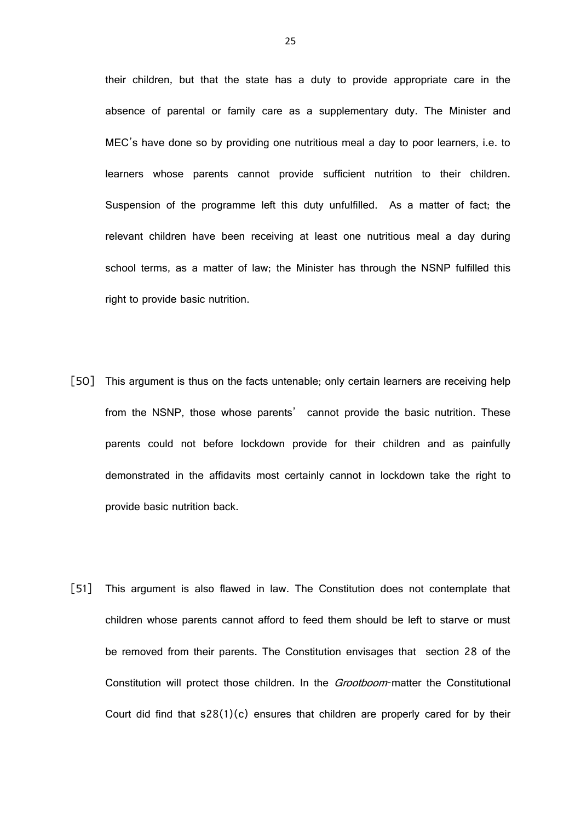their children, but that the state has a duty to provide appropriate care in the absence of parental or family care as a supplementary duty. The Minister and MEC's have done so by providing one nutritious meal a day to poor learners, i.e. to learners whose parents cannot provide sufficient nutrition to their children. Suspension of the programme left this duty unfulfilled. As a matter of fact; the relevant children have been receiving at least one nutritious meal a day during school terms, as a matter of law; the Minister has through the NSNP fulfilled this right to provide basic nutrition.

- [50] This argument is thus on the facts untenable; only certain learners are receiving help from the NSNP, those whose parents' cannot provide the basic nutrition. These parents could not before lockdown provide for their children and as painfully demonstrated in the affidavits most certainly cannot in lockdown take the right to provide basic nutrition back.
- [51] This argument is also flawed in law. The Constitution does not contemplate that children whose parents cannot afford to feed them should be left to starve or must be removed from their parents. The Constitution envisages that section 28 of the Constitution will protect those children. In the *Grootboom*-matter the Constitutional Court did find that  $s28(1)(c)$  ensures that children are properly cared for by their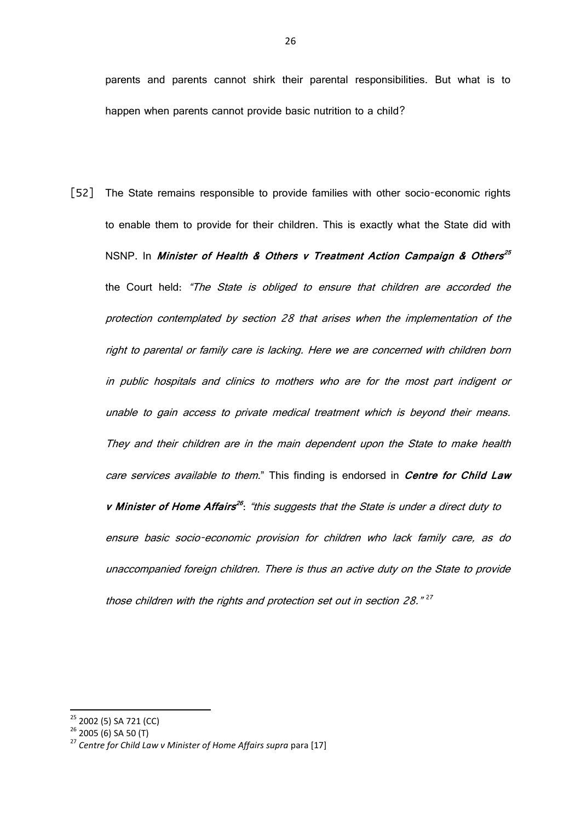parents and parents cannot shirk their parental responsibilities. But what is to happen when parents cannot provide basic nutrition to a child?

[52] The State remains responsible to provide families with other socio-economic rights to enable them to provide for their children. This is exactly what the State did with NSNP. In **Minister of Health & Others v Treatment Action Campaign & Others 25** the Court held: "The State is obliged to ensure that children are accorded the protection contemplated by section 28 that arises when the implementation of the right to parental or family care is lacking. Here we are concerned with children born in public hospitals and clinics to mothers who are for the most part indigent or unable to gain access to private medical treatment which is beyond their means. They and their children are in the main dependent upon the State to make health care services available to them." This finding is endorsed in **Centre for Child Law <sup>v</sup> Minister of Home Affairs 26** : "this suggests that the State is under a direct duty to ensure basic socio-economic provision for children who lack family care, as do unaccompanied foreign children. There is thus an active duty on the State to provide those children with the rights and protection set out in section 28."<sup>27</sup>

<sup>&</sup>lt;sup>25</sup> 2002 (5) SA 721 (CC)

 $2622(5)$  2005 (6) SA 50 (T)

<sup>27</sup> *Centre for Child Law v Minister of Home Affairs supra* para [17]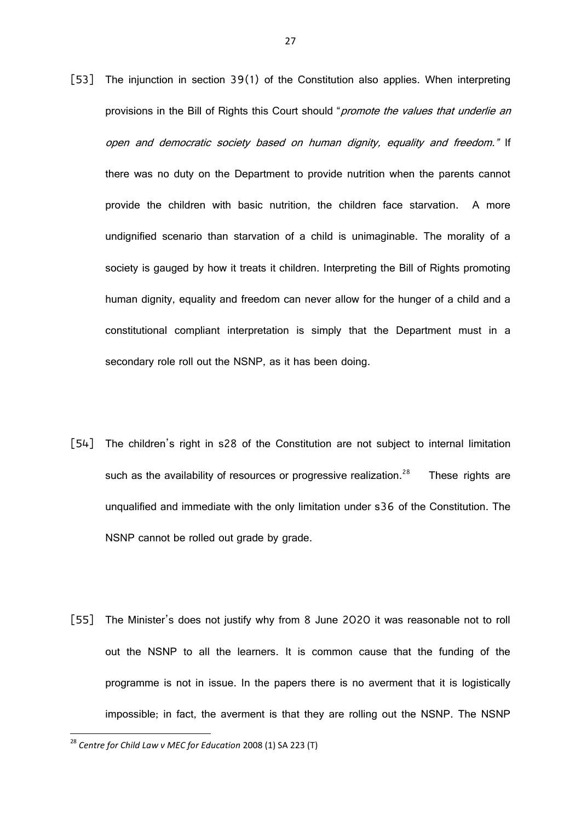- [53] The injunction in section 39(1) of the Constitution also applies. When interpreting provisions in the Bill of Rights this Court should "promote the values that underlie an open and democratic society based on human dignity, equality and freedom." If there was no duty on the Department to provide nutrition when the parents cannot provide the children with basic nutrition, the children face starvation. A more undignified scenario than starvation of a child is unimaginable. The morality of a society is gauged by how it treats it children. Interpreting the Bill of Rights promoting human dignity, equality and freedom can never allow for the hunger of a child and a constitutional compliant interpretation is simply that the Department must in a secondary role roll out the NSNP, as it has been doing.
- [54] The children's right in s28 of the Constitution are not subject to internal limitation such as the availability of resources or progressive realization.<sup>28</sup> These rights are unqualified and immediate with the only limitation under s36 of the Constitution. The NSNP cannot be rolled out grade by grade.
- [55] The Minister's does not justify why from 8 June 2020 it was reasonable not to roll out the NSNP to all the learners. It is common cause that the funding of the programme is not in issue. In the papers there is no averment that it is logistically impossible; in fact, the averment is that they are rolling out the NSNP. The NSNP

<sup>28</sup> *Centre for Child Law v MEC for Education* 2008 (1) SA 223 (T)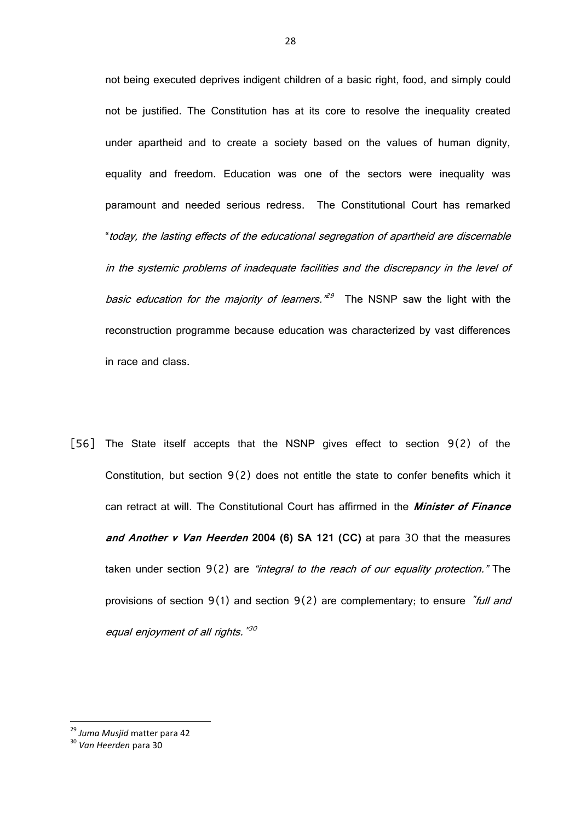not being executed deprives indigent children of a basic right, food, and simply could not be justified. The Constitution has at its core to resolve the inequality created under apartheid and to create a society based on the values of human dignity, equality and freedom. Education was one of the sectors were inequality was paramount and needed serious redress. The Constitutional Court has remarked "today, the lasting effects of the educational segregation of apartheid are discernable in the systemic problems of inadequate facilities and the discrepancy in the level of basic education for the majority of learners.<sup>129</sup> The NSNP saw the light with the reconstruction programme because education was characterized by vast differences in race and class.

[56] The State itself accepts that the NSNP gives effect to section 9(2) of the Constitution, but section 9(2) does not entitle the state to confer benefits which it can retract at will. The Constitutional Court has affirmed in the **Minister of Finance and Another v Van Heerden 2004 (6) SA 121 (CC)** at para 30 that the measures taken under section  $9(2)$  are "integral to the reach of our equality protection." The provisions of section  $9(1)$  and section  $9(2)$  are complementary; to ensure "full and equal enjoyment of all rights. "<sup>30</sup>

1

<sup>29</sup> *Juma Musjid* matter para 42

<sup>30</sup> *Van Heerden* para 30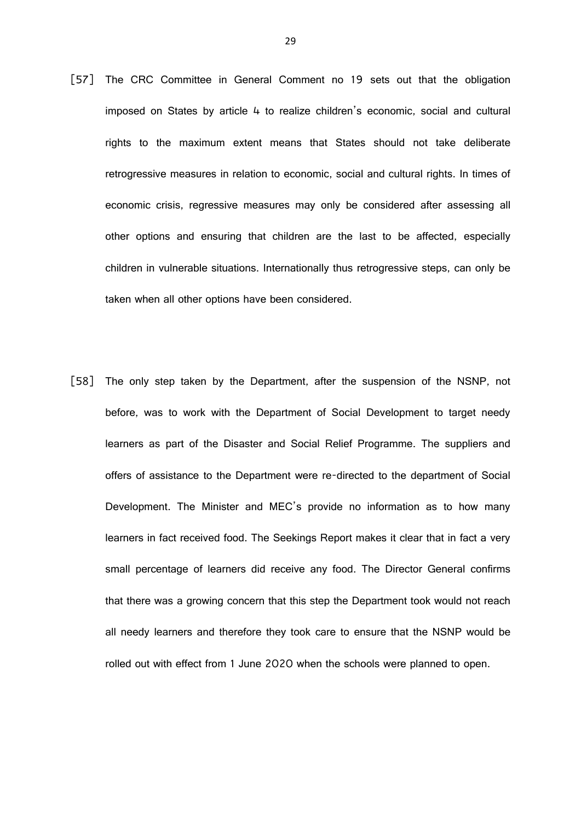- [57] The CRC Committee in General Comment no 19 sets out that the obligation imposed on States by article 4 to realize children's economic, social and cultural rights to the maximum extent means that States should not take deliberate retrogressive measures in relation to economic, social and cultural rights. In times of economic crisis, regressive measures may only be considered after assessing all other options and ensuring that children are the last to be affected, especially children in vulnerable situations. Internationally thus retrogressive steps, can only be taken when all other options have been considered.
- [58] The only step taken by the Department, after the suspension of the NSNP, not before, was to work with the Department of Social Development to target needy learners as part of the Disaster and Social Relief Programme. The suppliers and offers of assistance to the Department were re-directed to the department of Social Development. The Minister and MEC's provide no information as to how many learners in fact received food. The Seekings Report makes it clear that in fact a very small percentage of learners did receive any food. The Director General confirms that there was a growing concern that this step the Department took would not reach all needy learners and therefore they took care to ensure that the NSNP would be rolled out with effect from 1 June 2020 when the schools were planned to open.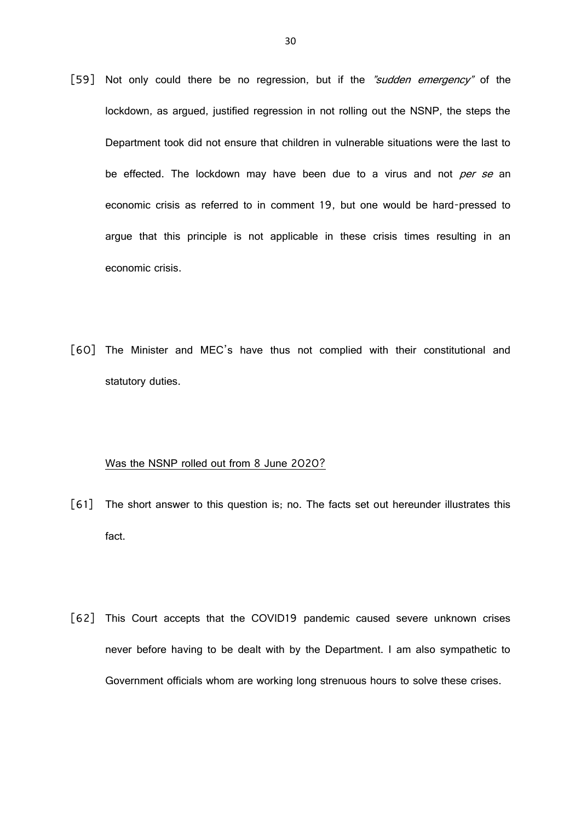- [59] Not only could there be no regression, but if the "sudden emergency" of the lockdown, as argued, justified regression in not rolling out the NSNP, the steps the Department took did not ensure that children in vulnerable situations were the last to be effected. The lockdown may have been due to a virus and not per se an economic crisis as referred to in comment 19, but one would be hard-pressed to argue that this principle is not applicable in these crisis times resulting in an economic crisis.
- [60] The Minister and MEC's have thus not complied with their constitutional and statutory duties.

# Was the NSNP rolled out from 8 June 2020?

- [61] The short answer to this question is; no. The facts set out hereunder illustrates this fact.
- [62] This Court accepts that the COVID19 pandemic caused severe unknown crises never before having to be dealt with by the Department. I am also sympathetic to Government officials whom are working long strenuous hours to solve these crises.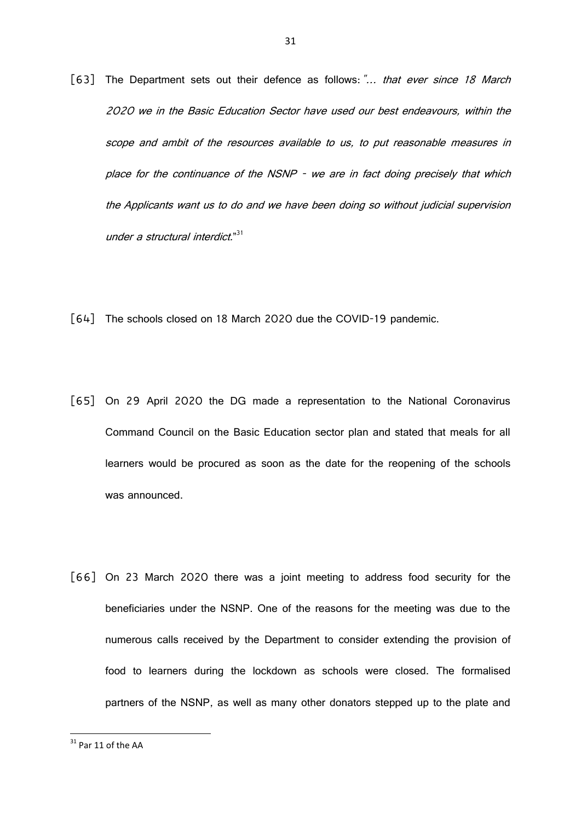- [63] The Department sets out their defence as follows: "... that ever since 18 March 2020 we in the Basic Education Sector have used our best endeavours, within the scope and ambit of the resources available to us, to put reasonable measures in place for the continuance of the NSNP - we are in fact doing precisely that which the Applicants want us to do and we have been doing so without judicial supervision under a structural interdict."<sup>31</sup>
- [64] The schools closed on 18 March 2020 due the COVID-19 pandemic.
- [65] On 29 April 2020 the DG made a representation to the National Coronavirus Command Council on the Basic Education sector plan and stated that meals for all learners would be procured as soon as the date for the reopening of the schools was announced.
- [66] On 23 March 2020 there was a joint meeting to address food security for the beneficiaries under the NSNP. One of the reasons for the meeting was due to the numerous calls received by the Department to consider extending the provision of food to learners during the lockdown as schools were closed. The formalised partners of the NSNP, as well as many other donators stepped up to the plate and

 $31$  Par 11 of the AA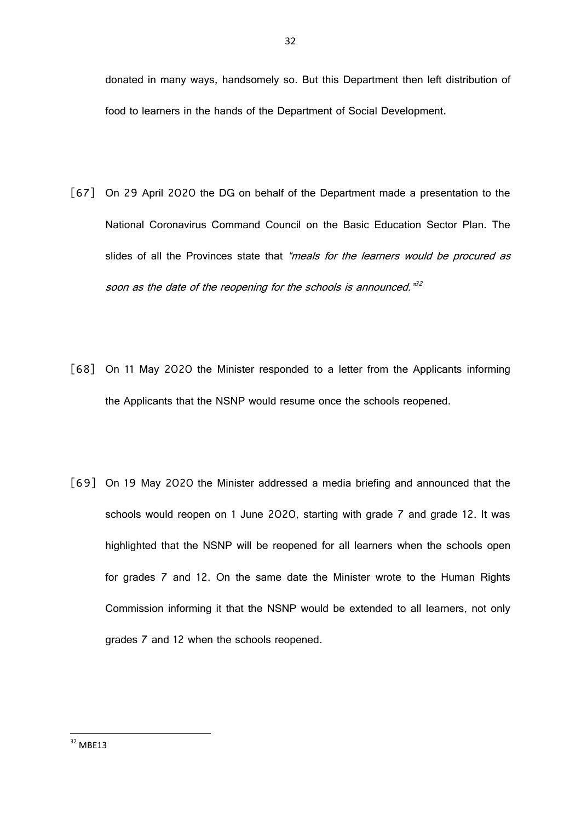32

donated in many ways, handsomely so. But this Department then left distribution of food to learners in the hands of the Department of Social Development.

- [67] On 29 April 2020 the DG on behalf of the Department made a presentation to the National Coronavirus Command Council on the Basic Education Sector Plan. The slides of all the Provinces state that "meals for the learners would be procured as soon as the date of the reopening for the schools is announced."<sup>32</sup>
- [68] On 11 May 2020 the Minister responded to a letter from the Applicants informing the Applicants that the NSNP would resume once the schools reopened.
- [69] On 19 May 2020 the Minister addressed a media briefing and announced that the schools would reopen on 1 June 2020, starting with grade 7 and grade 12. It was highlighted that the NSNP will be reopened for all learners when the schools open for grades 7 and 12. On the same date the Minister wrote to the Human Rights Commission informing it that the NSNP would be extended to all learners, not only grades 7 and 12 when the schools reopened.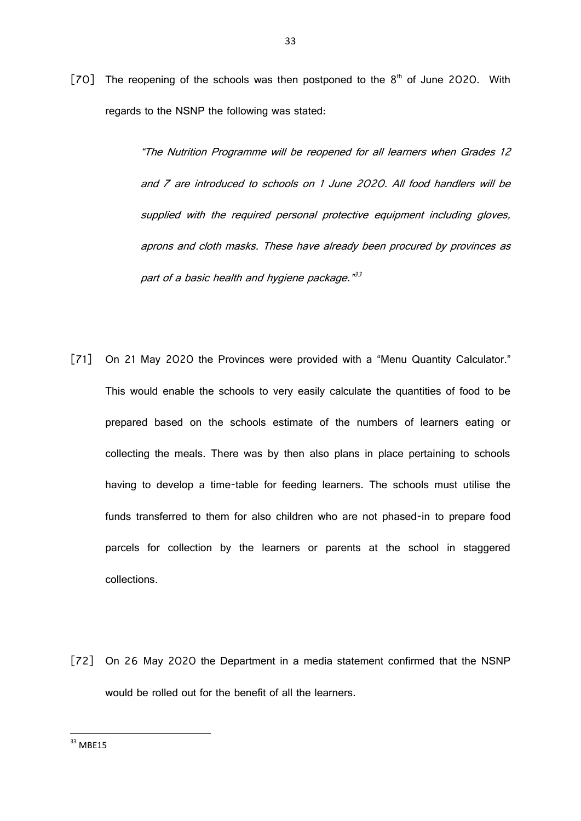[70] The reopening of the schools was then postponed to the  $8<sup>th</sup>$  of June 2020. With regards to the NSNP the following was stated:

> "The Nutrition Programme will be reopened for all learners when Grades 12 and 7 are introduced to schools on 1 June 2020. All food handlers will be supplied with the required personal protective equipment including gloves, aprons and cloth masks. These have already been procured by provinces as part of a basic health and hygiene package."<sup>33</sup>

- [71] On 21 May 2020 the Provinces were provided with a "Menu Quantity Calculator." This would enable the schools to very easily calculate the quantities of food to be prepared based on the schools estimate of the numbers of learners eating or collecting the meals. There was by then also plans in place pertaining to schools having to develop a time-table for feeding learners. The schools must utilise the funds transferred to them for also children who are not phased-in to prepare food parcels for collection by the learners or parents at the school in staggered collections.
- [72] On 26 May 2020 the Department in a media statement confirmed that the NSNP would be rolled out for the benefit of all the learners.

**<sup>.</sup>**  $33$  MBE15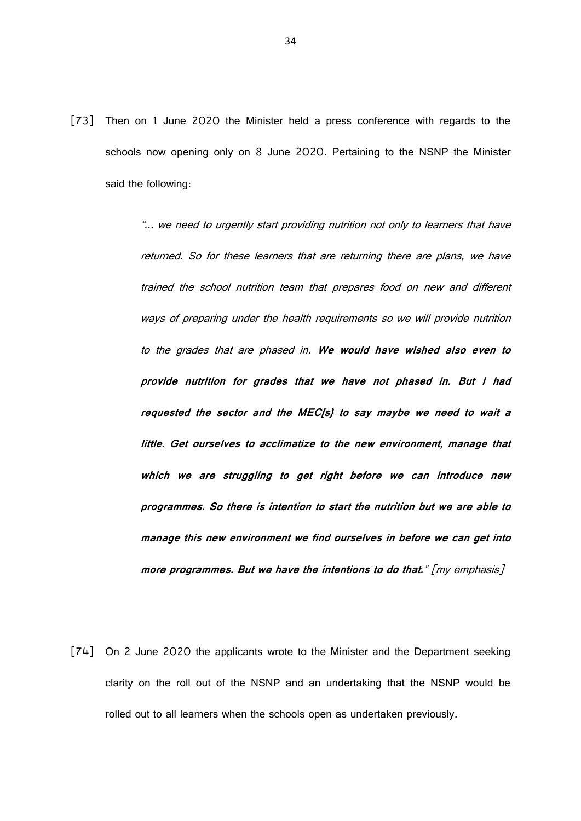[73] Then on 1 June 2020 the Minister held a press conference with regards to the schools now opening only on 8 June 2020. Pertaining to the NSNP the Minister said the following:

> "... we need to urgently start providing nutrition not only to learners that have returned. So for these learners that are returning there are plans, we have trained the school nutrition team that prepares food on new and different ways of preparing under the health requirements so we will provide nutrition to the grades that are phased in. **We would have wished also even to provide nutrition for grades that we have not phased in. But I had requested the sector and the MEC[s} to say maybe we need to wait a little. Get ourselves to acclimatize to the new environment, manage that which we are struggling to get right before we can introduce new programmes. So there is intention to start the nutrition but we are able to manage this new environment we find ourselves in before we can get into more programmes. But we have the intentions to do that.**" [my emphasis]

[74] On 2 June 2020 the applicants wrote to the Minister and the Department seeking clarity on the roll out of the NSNP and an undertaking that the NSNP would be rolled out to all learners when the schools open as undertaken previously.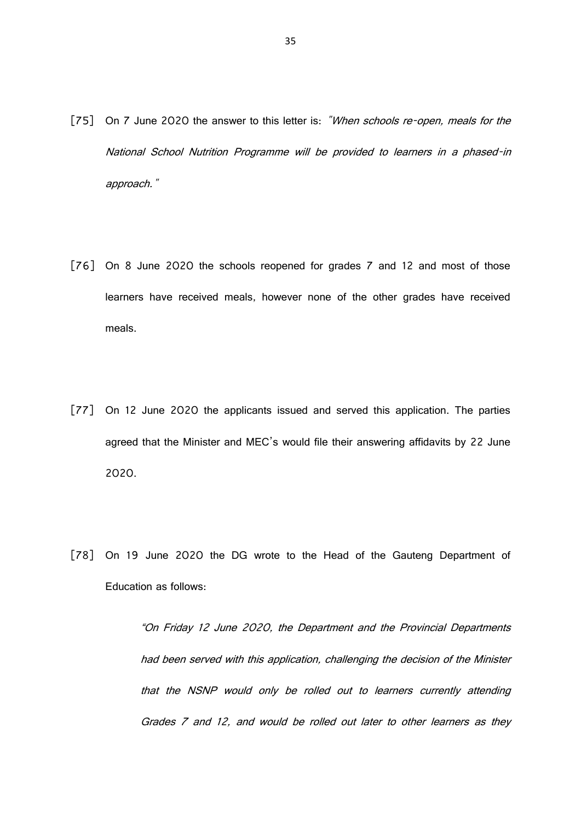- [75] On 7 June 2020 the answer to this letter is: "When schools re-open, meals for the National School Nutrition Programme will be provided to learners in a phased-in approach."
- [76] On 8 June 2020 the schools reopened for grades 7 and 12 and most of those learners have received meals, however none of the other grades have received meals.
- [77] On 12 June 2020 the applicants issued and served this application. The parties agreed that the Minister and MEC's would file their answering affidavits by 22 June 2020.
- [78] On 19 June 2020 the DG wrote to the Head of the Gauteng Department of Education as follows:

"On Friday 12 June 2020, the Department and the Provincial Departments had been served with this application, challenging the decision of the Minister that the NSNP would only be rolled out to learners currently attending Grades 7 and 12, and would be rolled out later to other learners as they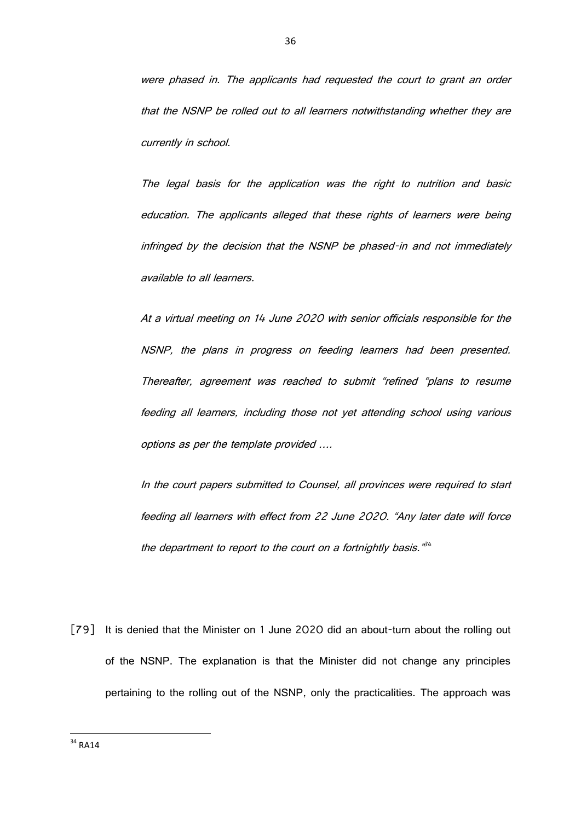were phased in. The applicants had requested the court to grant an order that the NSNP be rolled out to all learners notwithstanding whether they are currently in school.

The legal basis for the application was the right to nutrition and basic education. The applicants alleged that these rights of learners were being infringed by the decision that the NSNP be phased-in and not immediately available to all learners.

At a virtual meeting on 14 June 2020 with senior officials responsible for the NSNP, the plans in progress on feeding learners had been presented. Thereafter, agreement was reached to submit "refined "plans to resume feeding all learners, including those not yet attending school using various options as per the template provided ….

In the court papers submitted to Counsel, all provinces were required to start feeding all learners with effect from 22 June 2020. "Any later date will force the department to report to the court on a fortnightly basis. $\vec{r}^4$ 

[79] It is denied that the Minister on 1 June 2020 did an about-turn about the rolling out of the NSNP. The explanation is that the Minister did not change any principles pertaining to the rolling out of the NSNP, only the practicalities. The approach was

**<sup>.</sup>**  $34$  RA14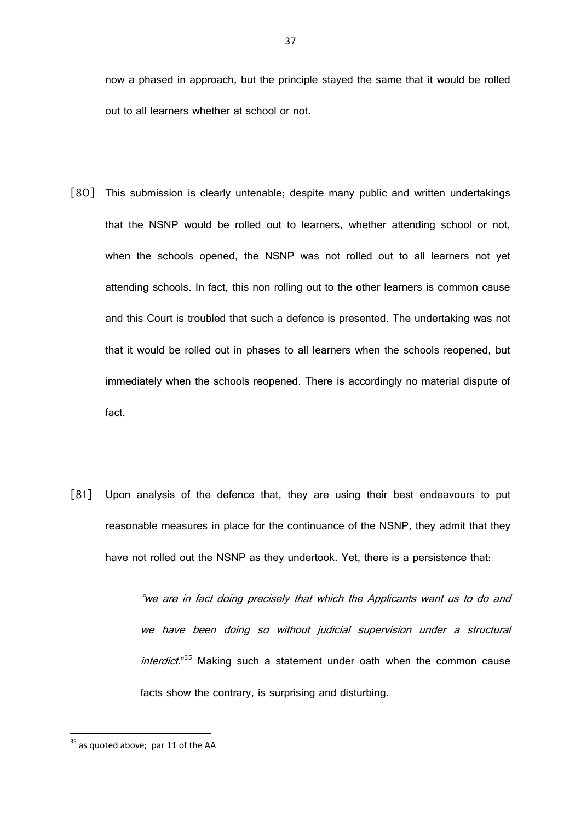now a phased in approach, but the principle stayed the same that it would be rolled out to all learners whether at school or not.

- [80] This submission is clearly untenable; despite many public and written undertakings that the NSNP would be rolled out to learners, whether attending school or not, when the schools opened, the NSNP was not rolled out to all learners not yet attending schools. In fact, this non rolling out to the other learners is common cause and this Court is troubled that such a defence is presented. The undertaking was not that it would be rolled out in phases to all learners when the schools reopened, but immediately when the schools reopened. There is accordingly no material dispute of fact.
- [81] Upon analysis of the defence that, they are using their best endeavours to put reasonable measures in place for the continuance of the NSNP, they admit that they have not rolled out the NSNP as they undertook. Yet, there is a persistence that:

"we are in fact doing precisely that which the Applicants want us to do and we have been doing so without judicial supervision under a structural interdict."<sup>35</sup> Making such a statement under oath when the common cause facts show the contrary, is surprising and disturbing.

 $35$  as quoted above; par 11 of the AA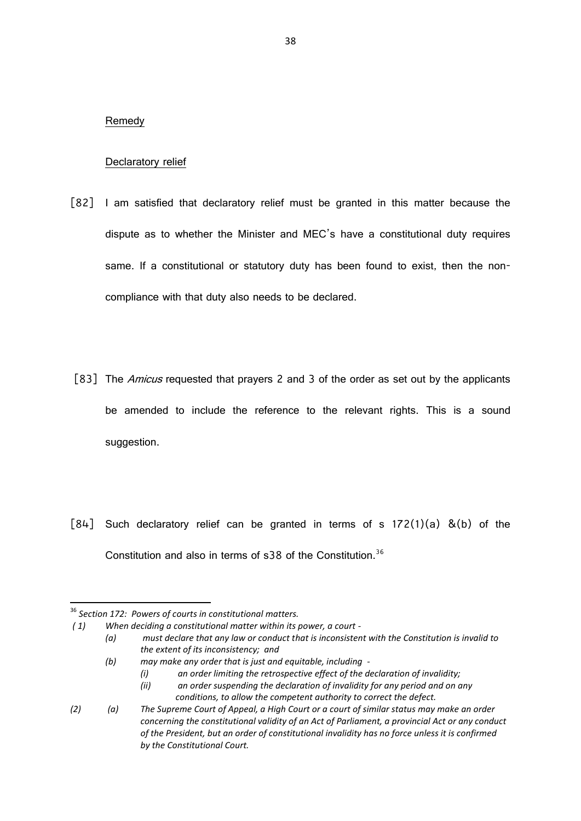## Remedy

# Declaratory relief

- [82] I am satisfied that declaratory relief must be granted in this matter because the dispute as to whether the Minister and MEC's have a constitutional duty requires same. If a constitutional or statutory duty has been found to exist, then the noncompliance with that duty also needs to be declared.
- [83] The *Amicus* requested that prayers 2 and 3 of the order as set out by the applicants be amended to include the reference to the relevant rights. This is a sound suggestion.
- $[84]$  Such declaratory relief can be granted in terms of s  $172(1)(a)$  &(b) of the Constitution and also in terms of s38 of the Constitution.<sup>36</sup>

 $\overline{\phantom{a}}$ 

<sup>36</sup> *Section 172: Powers of courts in constitutional matters.*

*<sup>( 1)</sup> When deciding a constitutional matter within its power, a court -*

*<sup>(</sup>a) must declare that any law or conduct that is inconsistent with the Constitution is invalid to the extent of its inconsistency; and*

*<sup>(</sup>b) may make any order that is just and equitable, including -*

*<sup>(</sup>i) an order limiting the retrospective effect of the declaration of invalidity;*

*<sup>(</sup>ii) an order suspending the declaration of invalidity for any period and on any conditions, to allow the competent authority to correct the defect.* 

*<sup>(2)</sup> (a) The Supreme Court of Appeal, a High Court or a court of similar status may make an order concerning the constitutional validity of an Act of Parliament, a provincial Act or any conduct of the President, but an order of constitutional invalidity has no force unless it is confirmed by the Constitutional Court.*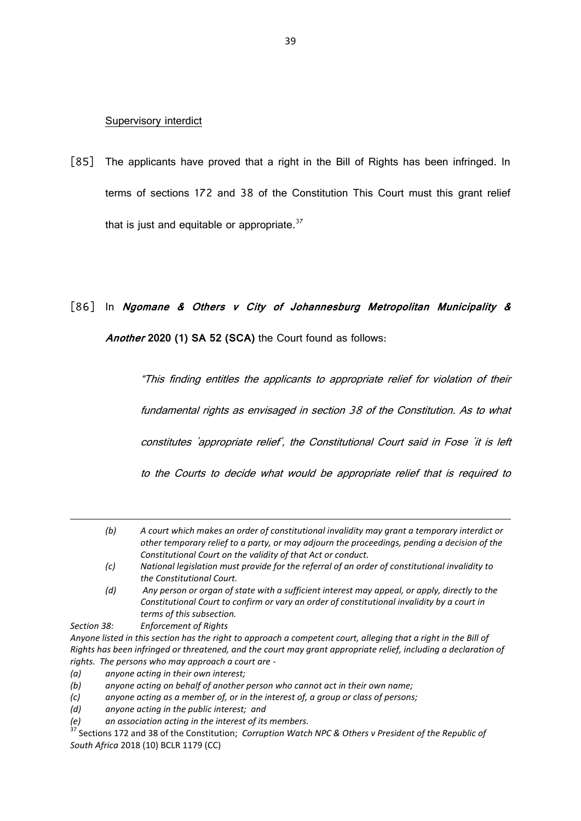## Supervisory interdict

[85] The applicants have proved that a right in the Bill of Rights has been infringed. In terms of sections 172 and 38 of the Constitution This Court must this grant relief that is just and equitable or appropriate.  $37$ 

# [86] In **Ngomane & Others v City of Johannesburg Metropolitan Municipality & Another 2020 (1) SA 52 (SCA)** the Court found as follows:

"This finding entitles the applicants to appropriate relief for violation of their fundamental rights as envisaged in section 38 of the Constitution. As to what constitutes 'appropriate relief', the Constitutional Court said in Fose 'it is left to the Courts to decide what would be appropriate relief that is required to

- *(c) National legislation must provide for the referral of an order of constitutional invalidity to the Constitutional Court.*
- *(d) Any person or organ of state with a sufficient interest may appeal, or apply, directly to the Constitutional Court to confirm or vary an order of constitutional invalidity by a court in terms of this subsection.*

*Section 38: Enforcement of Rights*

 $\overline{\phantom{a}}$ 

*Anyone listed in this section has the right to approach a competent court, alleging that a right in the Bill of Rights has been infringed or threatened, and the court may grant appropriate relief, including a declaration of rights. The persons who may approach a court are -*

*(a) anyone acting in their own interest;*

*(b) anyone acting on behalf of another person who cannot act in their own name;*

*(c) anyone acting as a member of, or in the interest of, a group or class of persons;*

*(d) anyone acting in the public interest; and*

*(e) an association acting in the interest of its members.*

<sup>37</sup> Sections 172 and 38 of the Constitution; *Corruption Watch NPC & Others v President of the Republic of South Africa* 2018 (10) BCLR 1179 (CC)

*<sup>(</sup>b) A court which makes an order of constitutional invalidity may grant a temporary interdict or other temporary relief to a party, or may adjourn the proceedings, pending a decision of the Constitutional Court on the validity of that Act or conduct.*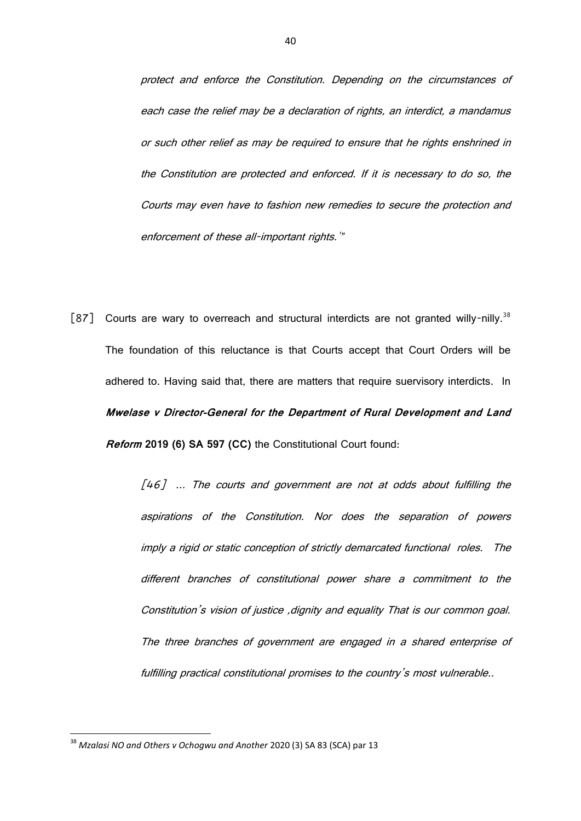protect and enforce the Constitution. Depending on the circumstances of each case the relief may be a declaration of rights, an interdict, a mandamus or such other relief as may be required to ensure that he rights enshrined in the Constitution are protected and enforced. If it is necessary to do so, the Courts may even have to fashion new remedies to secure the protection and enforcement of these all-important rights.'"

[87] Courts are wary to overreach and structural interdicts are not granted willy-nilly.<sup>38</sup> The foundation of this reluctance is that Courts accept that Court Orders will be adhered to. Having said that, there are matters that require suervisory interdicts. In **Mwelase v Director-General for the Department of Rural Development and Land Reform 2019 (6) SA 597 (CC)** the Constitutional Court found:

> $[46]$  ... The courts and government are not at odds about fulfilling the aspirations of the Constitution. Nor does the separation of powers imply a rigid or static conception of strictly demarcated functional roles. The different branches of constitutional power share a commitment to the Constitution's vision of justice ,dignity and equality That is our common goal. The three branches of government are engaged in a shared enterprise of fulfilling practical constitutional promises to the country's most vulnerable..

<sup>38</sup> *Mzalasi NO and Others v Ochogwu and Another* 2020 (3) SA 83 (SCA) par 13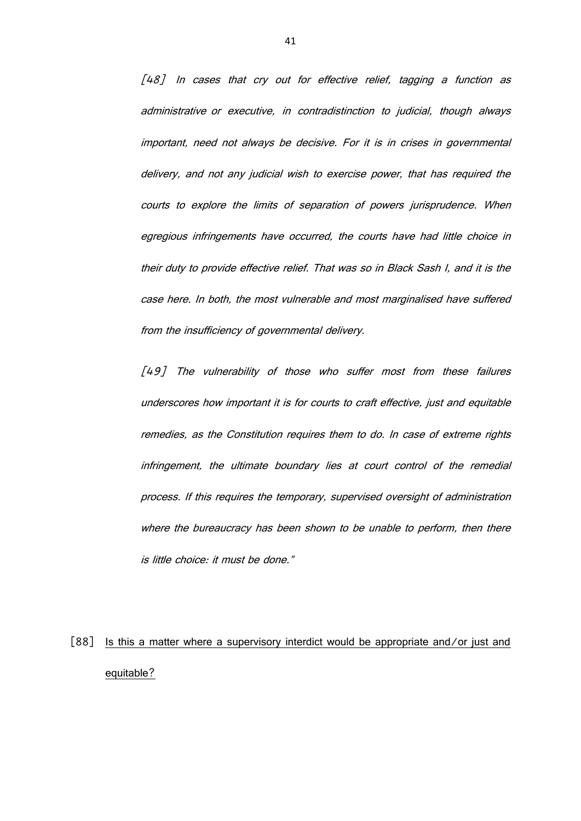[48] In cases that cry out for effective relief, tagging a function as administrative or executive, in contradistinction to judicial, though always important, need not always be decisive. For it is in crises in governmental delivery, and not any judicial wish to exercise power, that has required the courts to explore the limits of separation of powers jurisprudence. When egregious infringements have occurred, the courts have had little choice in their duty to provide effective relief. That was so in Black Sash I, and it is the case here. In both, the most vulnerable and most marginalised have suffered from the insufficiency of governmental delivery.

[49] The vulnerability of those who suffer most from these failures underscores how important it is for courts to craft effective, just and equitable remedies, as the Constitution requires them to do. In case of extreme rights infringement, the ultimate boundary lies at court control of the remedial process. If this requires the temporary, supervised oversight of administration where the bureaucracy has been shown to be unable to perform, then there is little choice: it must be done."

[88] Is this a matter where a supervisory interdict would be appropriate and/or just and equitable?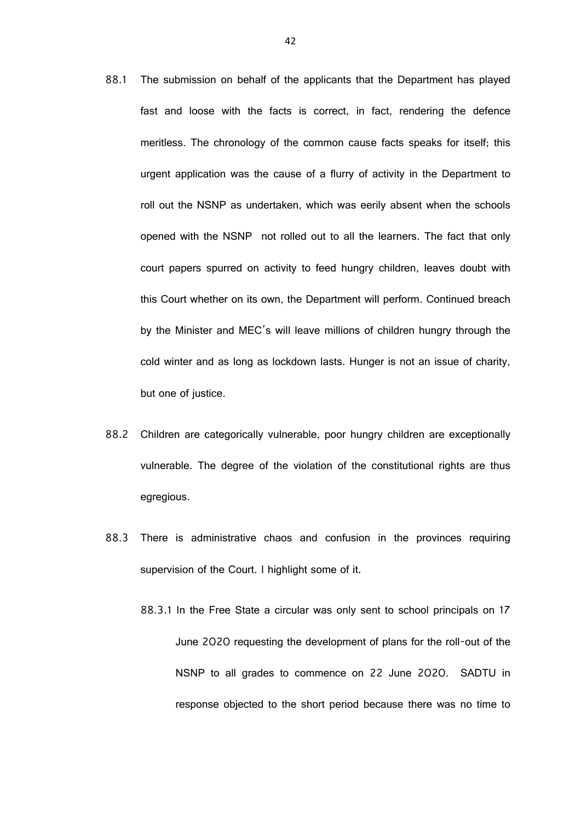- 88.1 The submission on behalf of the applicants that the Department has played fast and loose with the facts is correct, in fact, rendering the defence meritless. The chronology of the common cause facts speaks for itself; this urgent application was the cause of a flurry of activity in the Department to roll out the NSNP as undertaken, which was eerily absent when the schools opened with the NSNP not rolled out to all the learners. The fact that only court papers spurred on activity to feed hungry children, leaves doubt with this Court whether on its own, the Department will perform. Continued breach by the Minister and MEC's will leave millions of children hungry through the cold winter and as long as lockdown lasts. Hunger is not an issue of charity, but one of justice.
- 88.2 Children are categorically vulnerable, poor hungry children are exceptionally vulnerable. The degree of the violation of the constitutional rights are thus egregious.
- 88.3 There is administrative chaos and confusion in the provinces requiring supervision of the Court. I highlight some of it.
	- 88.3.1 In the Free State a circular was only sent to school principals on 17 June 2020 requesting the development of plans for the roll-out of the NSNP to all grades to commence on 22 June 2020. SADTU in response objected to the short period because there was no time to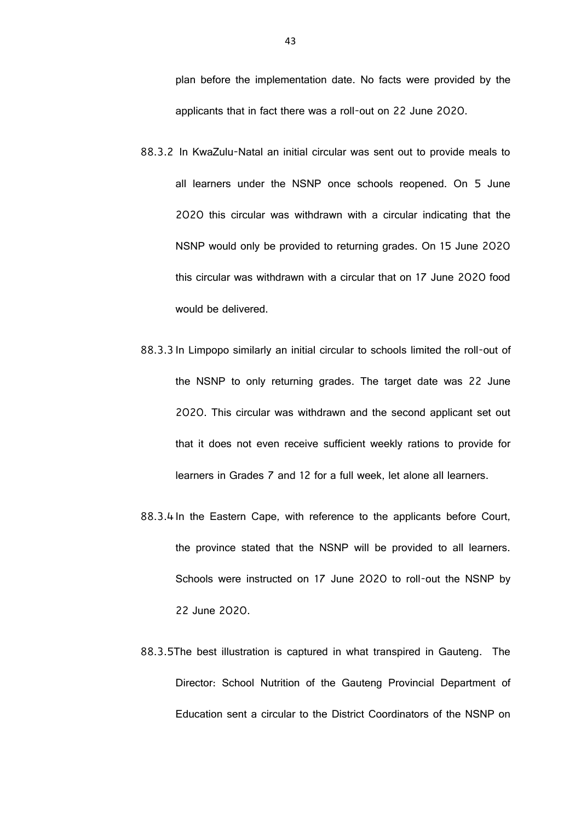plan before the implementation date. No facts were provided by the applicants that in fact there was a roll-out on 22 June 2020.

- 88.3.2 In KwaZulu-Natal an initial circular was sent out to provide meals to all learners under the NSNP once schools reopened. On 5 June 2020 this circular was withdrawn with a circular indicating that the NSNP would only be provided to returning grades. On 15 June 2020 this circular was withdrawn with a circular that on 17 June 2020 food would be delivered.
- 88.3.3 In Limpopo similarly an initial circular to schools limited the roll-out of the NSNP to only returning grades. The target date was 22 June 2020. This circular was withdrawn and the second applicant set out that it does not even receive sufficient weekly rations to provide for learners in Grades 7 and 12 for a full week, let alone all learners.
- 88.3.4 In the Eastern Cape, with reference to the applicants before Court, the province stated that the NSNP will be provided to all learners. Schools were instructed on 17 June 2020 to roll-out the NSNP by 22 June 2020.
- 88.3.5The best illustration is captured in what transpired in Gauteng. The Director: School Nutrition of the Gauteng Provincial Department of Education sent a circular to the District Coordinators of the NSNP on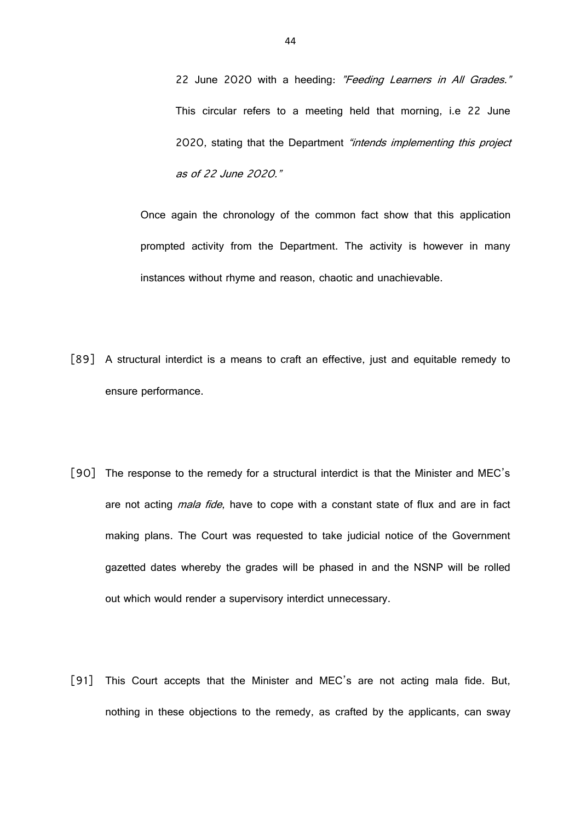22 June 2020 with a heeding: "Feeding Learners in All Grades." This circular refers to a meeting held that morning, i.e 22 June 2020, stating that the Department "intends implementing this project as of 22 June 2020."

Once again the chronology of the common fact show that this application prompted activity from the Department. The activity is however in many instances without rhyme and reason, chaotic and unachievable.

- [89] A structural interdict is a means to craft an effective, just and equitable remedy to ensure performance.
- [90] The response to the remedy for a structural interdict is that the Minister and MEC's are not acting *mala fide*, have to cope with a constant state of flux and are in fact making plans. The Court was requested to take judicial notice of the Government gazetted dates whereby the grades will be phased in and the NSNP will be rolled out which would render a supervisory interdict unnecessary.
- [91] This Court accepts that the Minister and MEC's are not acting mala fide. But, nothing in these objections to the remedy, as crafted by the applicants, can sway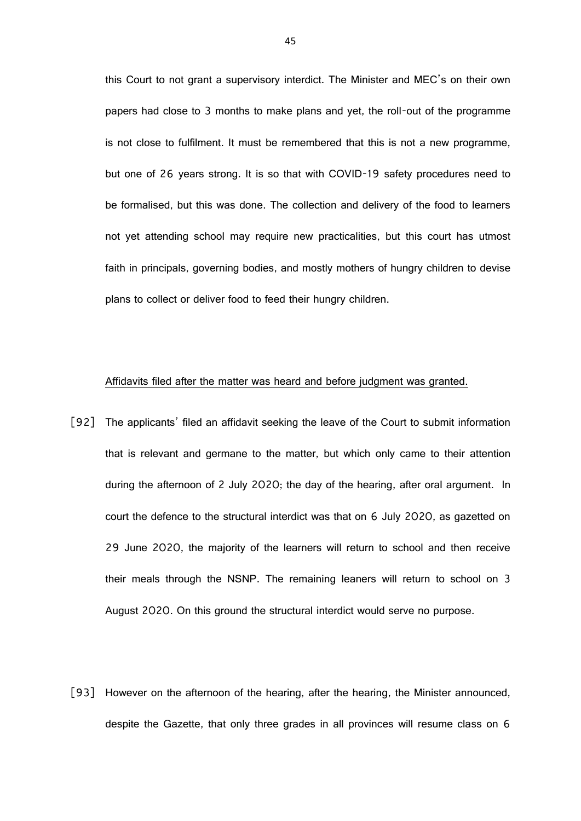this Court to not grant a supervisory interdict. The Minister and MEC's on their own papers had close to 3 months to make plans and yet, the roll-out of the programme is not close to fulfilment. It must be remembered that this is not a new programme, but one of 26 years strong. It is so that with COVID-19 safety procedures need to be formalised, but this was done. The collection and delivery of the food to learners not yet attending school may require new practicalities, but this court has utmost faith in principals, governing bodies, and mostly mothers of hungry children to devise plans to collect or deliver food to feed their hungry children.

## Affidavits filed after the matter was heard and before judgment was granted.

- [92] The applicants' filed an affidavit seeking the leave of the Court to submit information that is relevant and germane to the matter, but which only came to their attention during the afternoon of 2 July 2020; the day of the hearing, after oral argument. In court the defence to the structural interdict was that on 6 July 2020, as gazetted on 29 June 2020, the majority of the learners will return to school and then receive their meals through the NSNP. The remaining leaners will return to school on 3 August 2020. On this ground the structural interdict would serve no purpose.
- [93] However on the afternoon of the hearing, after the hearing, the Minister announced, despite the Gazette, that only three grades in all provinces will resume class on 6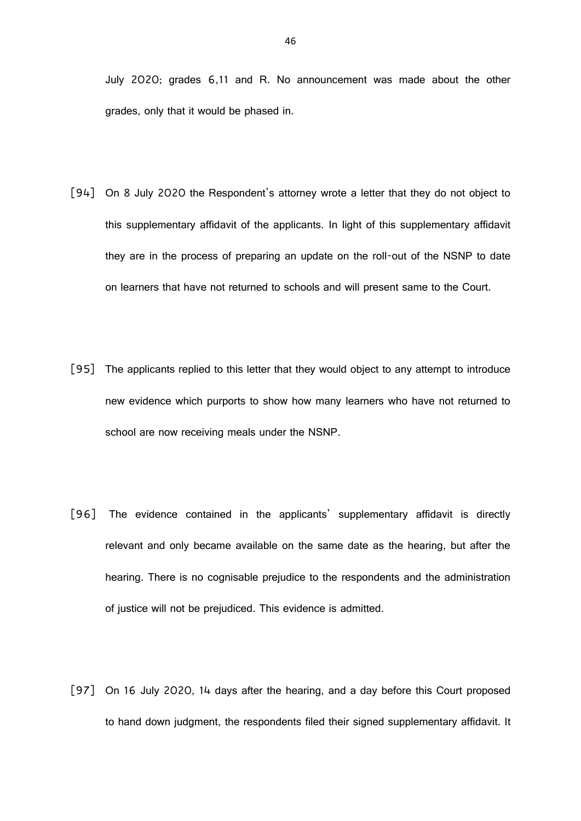July 2020; grades 6,11 and R. No announcement was made about the other grades, only that it would be phased in.

- [94] On 8 July 2020 the Respondent's attorney wrote a letter that they do not object to this supplementary affidavit of the applicants. In light of this supplementary affidavit they are in the process of preparing an update on the roll-out of the NSNP to date on learners that have not returned to schools and will present same to the Court.
- [95] The applicants replied to this letter that they would object to any attempt to introduce new evidence which purports to show how many learners who have not returned to school are now receiving meals under the NSNP.
- [96] The evidence contained in the applicants' supplementary affidavit is directly relevant and only became available on the same date as the hearing, but after the hearing. There is no cognisable prejudice to the respondents and the administration of justice will not be prejudiced. This evidence is admitted.
- [97] On 16 July 2020, 14 days after the hearing, and a day before this Court proposed to hand down judgment, the respondents filed their signed supplementary affidavit. It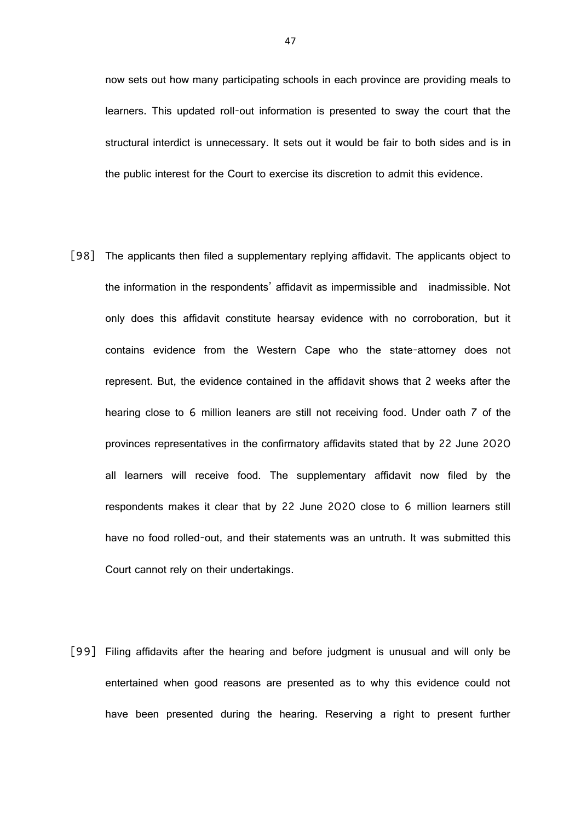now sets out how many participating schools in each province are providing meals to learners. This updated roll-out information is presented to sway the court that the structural interdict is unnecessary. It sets out it would be fair to both sides and is in the public interest for the Court to exercise its discretion to admit this evidence.

- [98] The applicants then filed a supplementary replying affidavit. The applicants object to the information in the respondents' affidavit as impermissible and inadmissible. Not only does this affidavit constitute hearsay evidence with no corroboration, but it contains evidence from the Western Cape who the state-attorney does not represent. But, the evidence contained in the affidavit shows that 2 weeks after the hearing close to 6 million leaners are still not receiving food. Under oath 7 of the provinces representatives in the confirmatory affidavits stated that by 22 June 2020 all learners will receive food. The supplementary affidavit now filed by the respondents makes it clear that by 22 June 2020 close to 6 million learners still have no food rolled-out, and their statements was an untruth. It was submitted this Court cannot rely on their undertakings.
- [99] Filing affidavits after the hearing and before judgment is unusual and will only be entertained when good reasons are presented as to why this evidence could not have been presented during the hearing. Reserving a right to present further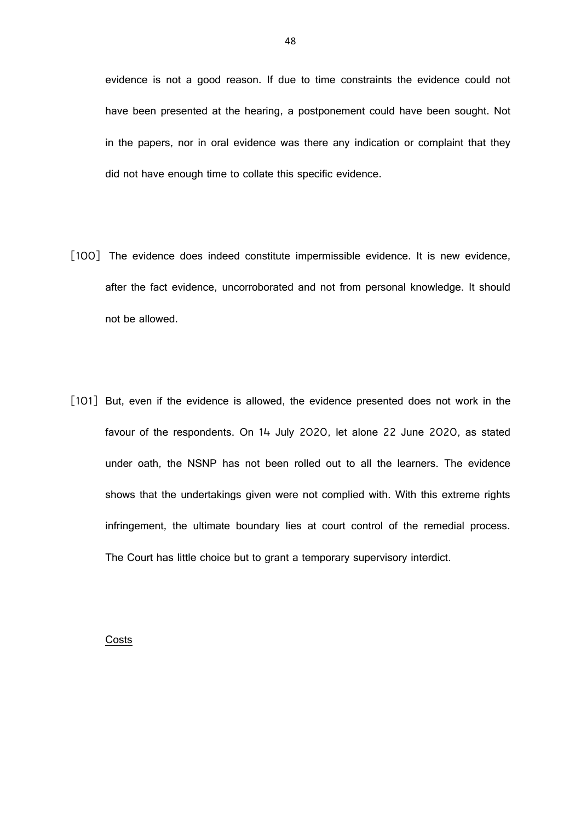evidence is not a good reason. If due to time constraints the evidence could not have been presented at the hearing, a postponement could have been sought. Not in the papers, nor in oral evidence was there any indication or complaint that they did not have enough time to collate this specific evidence.

- [100] The evidence does indeed constitute impermissible evidence. It is new evidence, after the fact evidence, uncorroborated and not from personal knowledge. It should not be allowed.
- [101] But, even if the evidence is allowed, the evidence presented does not work in the favour of the respondents. On 14 July 2020, let alone 22 June 2020, as stated under oath, the NSNP has not been rolled out to all the learners. The evidence shows that the undertakings given were not complied with. With this extreme rights infringement, the ultimate boundary lies at court control of the remedial process. The Court has little choice but to grant a temporary supervisory interdict.

#### Costs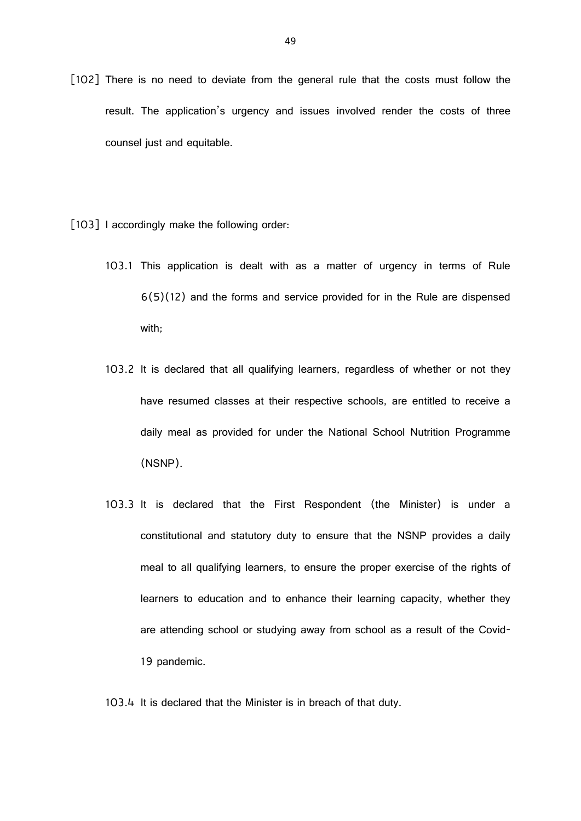- [102] There is no need to deviate from the general rule that the costs must follow the result. The application's urgency and issues involved render the costs of three counsel just and equitable.
- [103] I accordingly make the following order:
	- 103.1 This application is dealt with as a matter of urgency in terms of Rule 6(5)(12) and the forms and service provided for in the Rule are dispensed with;
	- 103.2 It is declared that all qualifying learners, regardless of whether or not they have resumed classes at their respective schools, are entitled to receive a daily meal as provided for under the National School Nutrition Programme (NSNP).
	- 103.3 It is declared that the First Respondent (the Minister) is under a constitutional and statutory duty to ensure that the NSNP provides a daily meal to all qualifying learners, to ensure the proper exercise of the rights of learners to education and to enhance their learning capacity, whether they are attending school or studying away from school as a result of the Covid-19 pandemic.

103.4 It is declared that the Minister is in breach of that duty.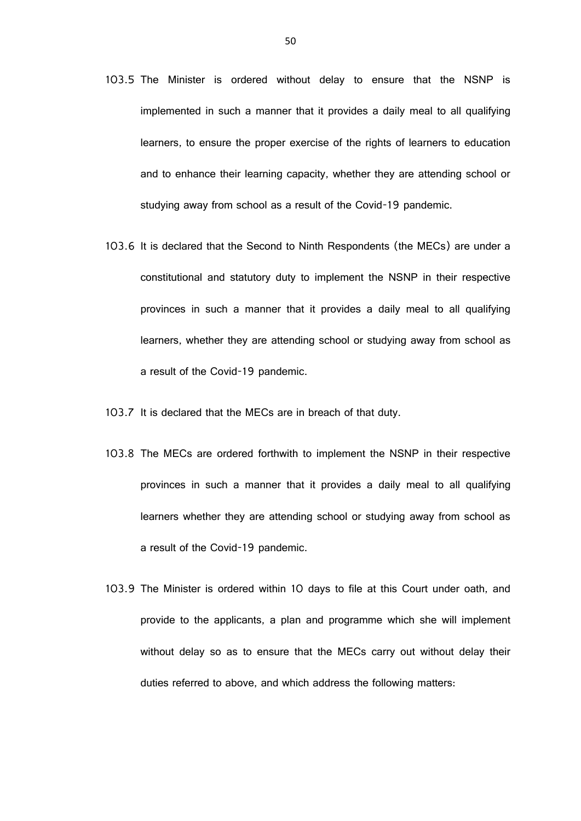- 103.5 The Minister is ordered without delay to ensure that the NSNP is implemented in such a manner that it provides a daily meal to all qualifying learners, to ensure the proper exercise of the rights of learners to education and to enhance their learning capacity, whether they are attending school or studying away from school as a result of the Covid-19 pandemic.
- 103.6 It is declared that the Second to Ninth Respondents (the MECs) are under a constitutional and statutory duty to implement the NSNP in their respective provinces in such a manner that it provides a daily meal to all qualifying learners, whether they are attending school or studying away from school as a result of the Covid-19 pandemic.
- 103.7 It is declared that the MECs are in breach of that duty.
- 103.8 The MECs are ordered forthwith to implement the NSNP in their respective provinces in such a manner that it provides a daily meal to all qualifying learners whether they are attending school or studying away from school as a result of the Covid-19 pandemic.
- 103.9 The Minister is ordered within 10 days to file at this Court under oath, and provide to the applicants, a plan and programme which she will implement without delay so as to ensure that the MECs carry out without delay their duties referred to above, and which address the following matters: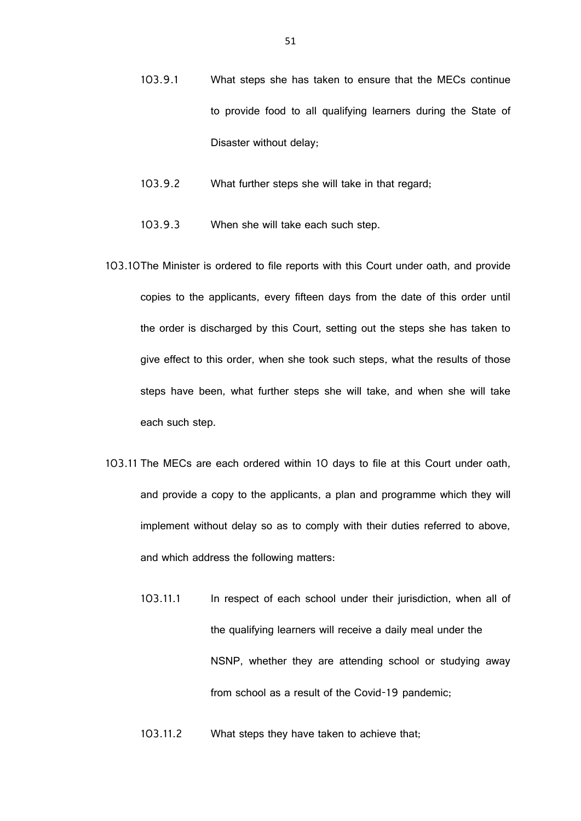- 103.9.1 What steps she has taken to ensure that the MECs continue to provide food to all qualifying learners during the State of Disaster without delay;
- 103.9.2 What further steps she will take in that regard;
- 103.9.3 When she will take each such step.
- 103.10The Minister is ordered to file reports with this Court under oath, and provide copies to the applicants, every fifteen days from the date of this order until the order is discharged by this Court, setting out the steps she has taken to give effect to this order, when she took such steps, what the results of those steps have been, what further steps she will take, and when she will take each such step.
- 103.11 The MECs are each ordered within 10 days to file at this Court under oath, and provide a copy to the applicants, a plan and programme which they will implement without delay so as to comply with their duties referred to above, and which address the following matters:
	- 103.11.1 In respect of each school under their jurisdiction, when all of the qualifying learners will receive a daily meal under the NSNP, whether they are attending school or studying away from school as a result of the Covid-19 pandemic;
	- 103.11.2 What steps they have taken to achieve that;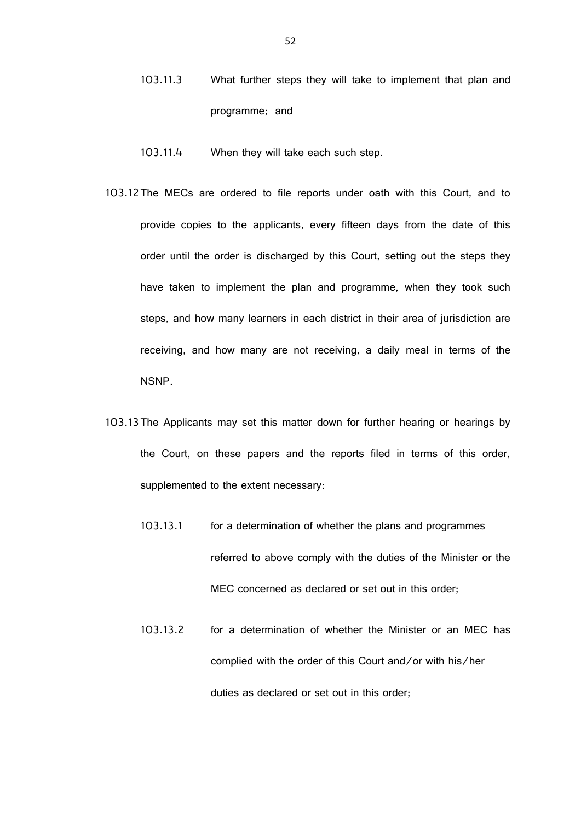- 103.11.3 What further steps they will take to implement that plan and programme; and
- 103.11.4 When they will take each such step.
- 103.12The MECs are ordered to file reports under oath with this Court, and to provide copies to the applicants, every fifteen days from the date of this order until the order is discharged by this Court, setting out the steps they have taken to implement the plan and programme, when they took such steps, and how many learners in each district in their area of jurisdiction are receiving, and how many are not receiving, a daily meal in terms of the NSNP.
- 103.13The Applicants may set this matter down for further hearing or hearings by the Court, on these papers and the reports filed in terms of this order, supplemented to the extent necessary:
	- 103.13.1 for a determination of whether the plans and programmes referred to above comply with the duties of the Minister or the MEC concerned as declared or set out in this order;
	- 103.13.2 for a determination of whether the Minister or an MEC has complied with the order of this Court and/or with his/her duties as declared or set out in this order;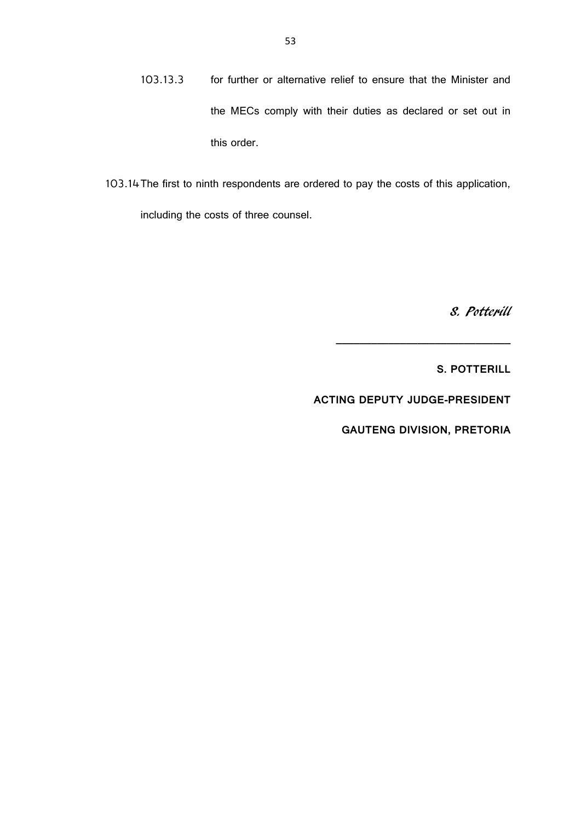- 103.13.3 for further or alternative relief to ensure that the Minister and the MECs comply with their duties as declared or set out in this order.
- 103.14The first to ninth respondents are ordered to pay the costs of this application, including the costs of three counsel.

S. Potterill

**S. POTTERILL**

**ACTING DEPUTY JUDGE-PRESIDENT**

**GAUTENG DIVISION, PRETORIA**

**\_\_\_\_\_\_\_\_\_\_\_\_\_\_\_\_\_\_\_\_\_\_\_\_\_\_\_\_\_\_**